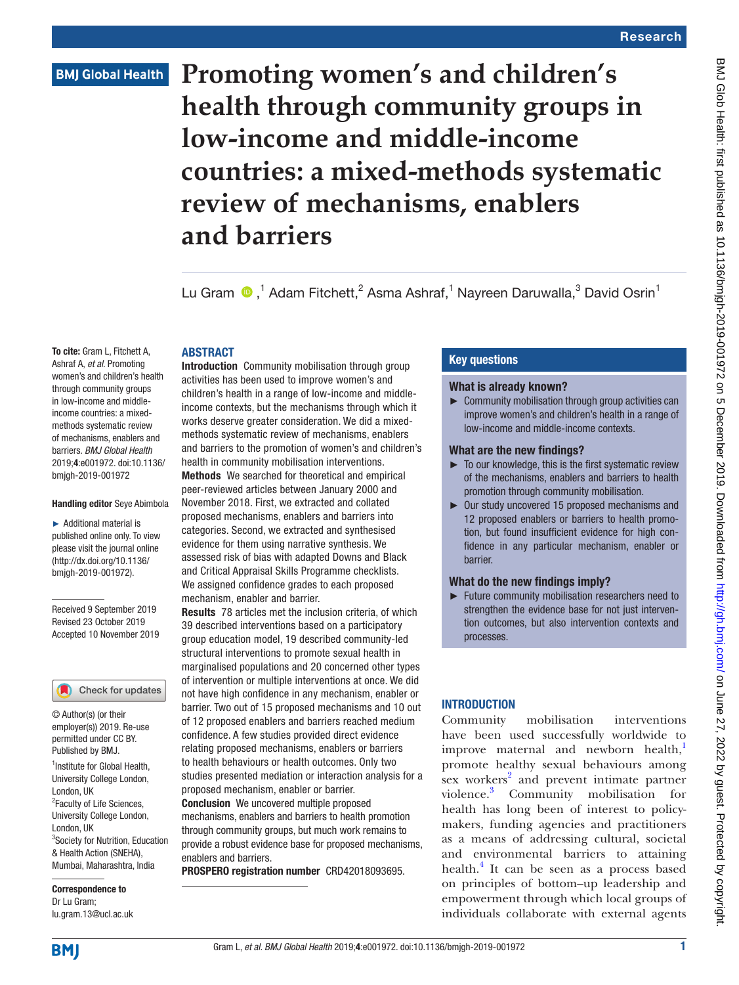# **BMJ Global Health**

**Promoting women's and children's health through community groups in low-income and middle-income countries: a mixed-methods systematic review of mechanisms, enablers and barriers**

LuGram  $\bigcirc$ ,<sup>1</sup> Adam Fitchett,<sup>2</sup> Asma Ashraf,<sup>1</sup> Nayreen Daruwalla,<sup>3</sup> David Osrin<sup>1</sup>

To cite: Gram L, Fitchett A, Ashraf A, *et al*. Promoting women's and children's health through community groups in low-income and middleincome countries: a mixedmethods systematic review of mechanisms, enablers and barriers. *BMJ Global Health*

**ABSTRACT** 

#### Handling editor Seye Abimbola

2019;4:e001972. doi:10.1136/ bmjgh-2019-001972

► Additional material is published online only. To view please visit the journal online (http://dx.doi.org/10.1136/ bmjgh-2019-001972).

Received 9 September 2019 Revised 23 October 2019 Accepted 10 November 2019

#### Check for updates

© Author(s) (or their employer(s)) 2019. Re-use permitted under CC BY. Published by BMJ.

<sup>1</sup> Institute for Global Health, University College London, London, UK <sup>2</sup> Faculty of Life Sciences, University College London, London, UK 3 Society for Nutrition, Education & Health Action (SNEHA), Mumbai, Maharashtra, India

Correspondence to Dr Lu Gram; lu.gram.13@ucl.ac.uk

Introduction Community mobilisation through group activities has been used to improve women's and children's health in a range of low-income and middleincome contexts, but the mechanisms through which it works deserve greater consideration. We did a mixedmethods systematic review of mechanisms, enablers and barriers to the promotion of women's and children's health in community mobilisation interventions.

Methods We searched for theoretical and empirical peer-reviewed articles between January 2000 and November 2018. First, we extracted and collated proposed mechanisms, enablers and barriers into categories. Second, we extracted and synthesised evidence for them using narrative synthesis. We assessed risk of bias with adapted Downs and Black and Critical Appraisal Skills Programme checklists. We assigned confidence grades to each proposed mechanism, enabler and barrier.

Results 78 articles met the inclusion criteria, of which 39 described interventions based on a participatory group education model, 19 described community-led structural interventions to promote sexual health in marginalised populations and 20 concerned other types of intervention or multiple interventions at once. We did not have high confidence in any mechanism, enabler or barrier. Two out of 15 proposed mechanisms and 10 out of 12 proposed enablers and barriers reached medium confidence. A few studies provided direct evidence relating proposed mechanisms, enablers or barriers to health behaviours or health outcomes. Only two studies presented mediation or interaction analysis for a proposed mechanism, enabler or barrier.

Conclusion We uncovered multiple proposed mechanisms, enablers and barriers to health promotion through community groups, but much work remains to provide a robust evidence base for proposed mechanisms, enablers and barriers.

PROSPERO registration number CRD42018093695.

### Key questions

#### What is already known?

 $\triangleright$  Community mobilisation through group activities can improve women's and children's health in a range of low-income and middle-income contexts.

#### What are the new findings?

- ► To our knowledge, this is the first systematic review of the mechanisms, enablers and barriers to health promotion through community mobilisation.
- ► Our study uncovered 15 proposed mechanisms and 12 proposed enablers or barriers to health promotion, but found insufficient evidence for high confidence in any particular mechanism, enabler or barrier.

### What do the new findings imply?

► Future community mobilisation researchers need to strengthen the evidence base for not just intervention outcomes, but also intervention contexts and processes.

# **INTRODUCTION**

Community mobilisation interventions have been used successfully worldwide to improve maternal and newborn health, $\frac{1}{2}$  $\frac{1}{2}$  $\frac{1}{2}$ promote healthy sexual behaviours among sex workers<sup>[2](#page-13-1)</sup> and prevent intimate partner violence.[3](#page-14-0) Community mobilisation for health has long been of interest to policymakers, funding agencies and practitioners as a means of addressing cultural, societal and environmental barriers to attaining health.<sup>[4](#page-14-1)</sup> It can be seen as a process based on principles of bottom–up leadership and empowerment through which local groups of individuals collaborate with external agents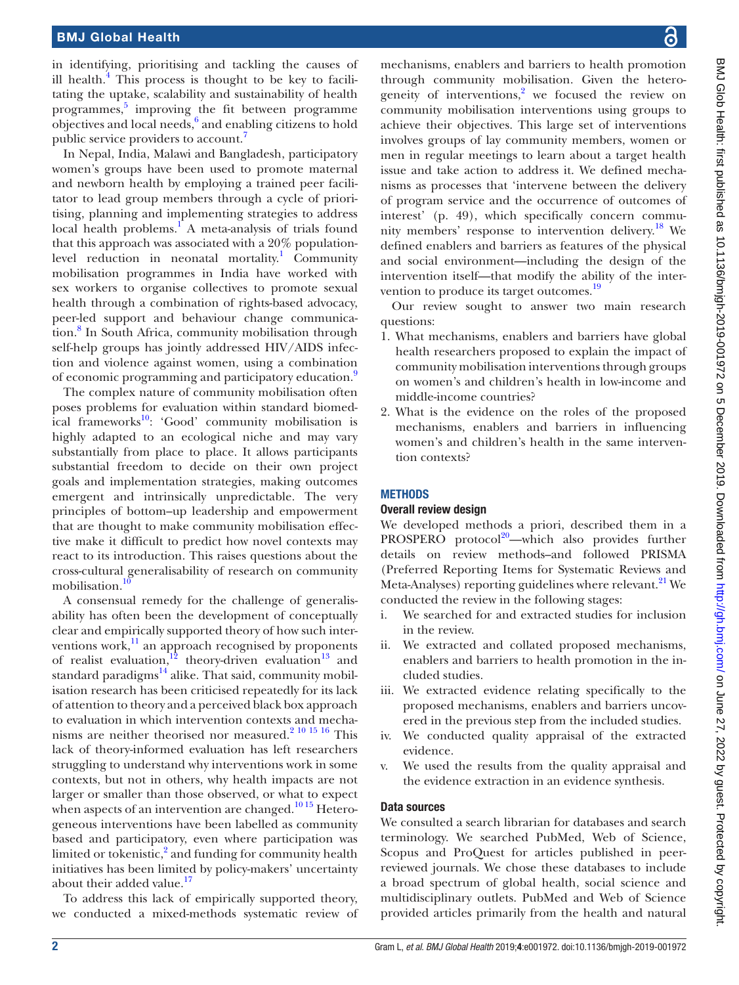in identifying, prioritising and tackling the causes of ill health. $\frac{4}{3}$  $\frac{4}{3}$  $\frac{4}{3}$  This process is thought to be key to facilitating the uptake, scalability and sustainability of health programmes, [5](#page-14-2) improving the fit between programme objectives and local needs, $6$  and enabling citizens to hold public service providers to account.<sup>7</sup>

In Nepal, India, Malawi and Bangladesh, participatory women's groups have been used to promote maternal and newborn health by employing a trained peer facilitator to lead group members through a cycle of prioritising, planning and implementing strategies to address local health problems.<sup>[1](#page-13-0)</sup> A meta-analysis of trials found that this approach was associated with a 20% population-level reduction in neonatal mortality.<sup>[1](#page-13-0)</sup> Community mobilisation programmes in India have worked with sex workers to organise collectives to promote sexual health through a combination of rights-based advocacy, peer-led support and behaviour change communication.<sup>8</sup> In South Africa, community mobilisation through self-help groups has jointly addressed HIV/AIDS infection and violence against women, using a combination of economic programming and participatory education.<sup>[9](#page-14-6)</sup>

The complex nature of community mobilisation often poses problems for evaluation within standard biomedical frameworks<sup>10</sup>: 'Good' community mobilisation is highly adapted to an ecological niche and may vary substantially from place to place. It allows participants substantial freedom to decide on their own project goals and implementation strategies, making outcomes emergent and intrinsically unpredictable. The very principles of bottom–up leadership and empowerment that are thought to make community mobilisation effective make it difficult to predict how novel contexts may react to its introduction. This raises questions about the cross-cultural generalisability of research on community mobilisation.

A consensual remedy for the challenge of generalisability has often been the development of conceptually clear and empirically supported theory of how such interventions work, $\frac{11}{11}$  $\frac{11}{11}$  $\frac{11}{11}$  an approach recognised by proponents of realist evaluation, $12$  theory-driven evaluation<sup>13</sup> and standard paradigms $^{14}$  alike. That said, community mobilisation research has been criticised repeatedly for its lack of attention to theory and a perceived black box approach to evaluation in which intervention contexts and mechanisms are neither theorised nor measured.[2 10 15 16](#page-13-1) This lack of theory-informed evaluation has left researchers struggling to understand why interventions work in some contexts, but not in others, why health impacts are not larger or smaller than those observed, or what to expect when aspects of an intervention are changed.<sup>1015</sup> Heterogeneous interventions have been labelled as community based and participatory, even where participation was limited or tokenistic,<sup>[2](#page-13-1)</sup> and funding for community health initiatives has been limited by policy-makers' uncertainty about their added value.<sup>[17](#page-14-12)</sup>

To address this lack of empirically supported theory, we conducted a mixed-methods systematic review of mechanisms, enablers and barriers to health promotion through community mobilisation. Given the heterogeneity of interventions, $2$  we focused the review on community mobilisation interventions using groups to achieve their objectives. This large set of interventions involves groups of lay community members, women or men in regular meetings to learn about a target health issue and take action to address it. We defined mechanisms as processes that 'intervene between the delivery of program service and the occurrence of outcomes of interest' (p. 49), which specifically concern commu-nity members' response to intervention delivery.<sup>[18](#page-14-13)</sup> We defined enablers and barriers as features of the physical and social environment—including the design of the intervention itself—that modify the ability of the inter-vention to produce its target outcomes.<sup>[19](#page-14-14)</sup>

Our review sought to answer two main research questions:

- 1. What mechanisms, enablers and barriers have global health researchers proposed to explain the impact of community mobilisation interventions through groups on women's and children's health in low-income and middle-income countries?
- 2. What is the evidence on the roles of the proposed mechanisms, enablers and barriers in influencing women's and children's health in the same intervention contexts?

# **METHODS**

#### Overall review design

We developed methods a priori, described them in a PROSPERO protocol $20$ —which also provides further details on review methods–and followed PRISMA (Preferred Reporting Items for Systematic Reviews and Meta-Analyses) reporting guidelines where relevant.<sup>21</sup> We conducted the review in the following stages:

- i. We searched for and extracted studies for inclusion in the review.
- ii. We extracted and collated proposed mechanisms, enablers and barriers to health promotion in the included studies.
- iii. We extracted evidence relating specifically to the proposed mechanisms, enablers and barriers uncovered in the previous step from the included studies.
- iv. We conducted quality appraisal of the extracted evidence.
- v. We used the results from the quality appraisal and the evidence extraction in an evidence synthesis.

# Data sources

We consulted a search librarian for databases and search terminology. We searched PubMed, Web of Science, Scopus and ProQuest for articles published in peerreviewed journals. We chose these databases to include a broad spectrum of global health, social science and multidisciplinary outlets. PubMed and Web of Science provided articles primarily from the health and natural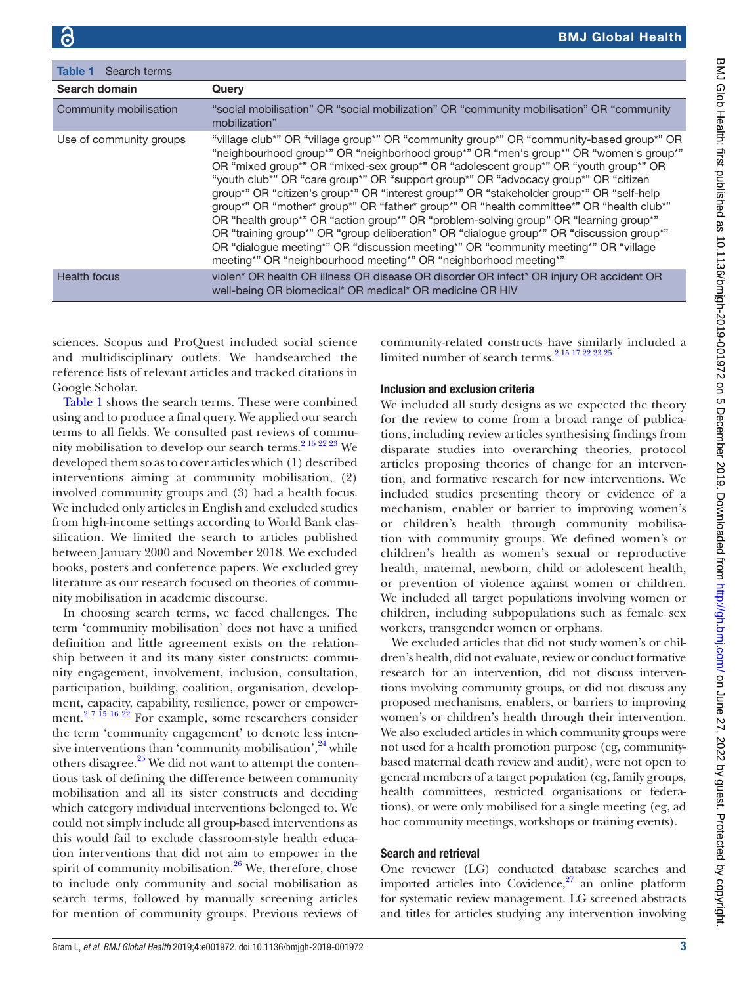<span id="page-2-0"></span>

| Search terms<br>Table 1 |                                                                                                                                                                                                                                                                                                                                                                                                                                                                                                                                                                                                                                                                                                                                                                                                                                                                                                         |
|-------------------------|---------------------------------------------------------------------------------------------------------------------------------------------------------------------------------------------------------------------------------------------------------------------------------------------------------------------------------------------------------------------------------------------------------------------------------------------------------------------------------------------------------------------------------------------------------------------------------------------------------------------------------------------------------------------------------------------------------------------------------------------------------------------------------------------------------------------------------------------------------------------------------------------------------|
| Search domain           | Query                                                                                                                                                                                                                                                                                                                                                                                                                                                                                                                                                                                                                                                                                                                                                                                                                                                                                                   |
| Community mobilisation  | "social mobilisation" OR "social mobilization" OR "community mobilisation" OR "community<br>mobilization"                                                                                                                                                                                                                                                                                                                                                                                                                                                                                                                                                                                                                                                                                                                                                                                               |
| Use of community groups | "village club*" OR "village group*" OR "community group*" OR "community-based group*" OR<br>"neighbourhood group*" OR "neighborhood group*" OR "men's group*" OR "women's group*"<br>OR "mixed group*" OR "mixed-sex group*" OR "adolescent group*" OR "youth group*" OR<br>"youth club*" OR "care group*" OR "support group*" OR "advocacy group*" OR "citizen<br>group*" OR "citizen's group*" OR "interest group*" OR "stakeholder group*" OR "self-help<br>group*" OR "mother* group*" OR "father* group*" OR "health committee*" OR "health club*"<br>OR "health group*" OR "action group*" OR "problem-solving group" OR "learning group*"<br>OR "training group*" OR "group deliberation" OR "dialogue group*" OR "discussion group*"<br>OR "dialogue meeting*" OR "discussion meeting*" OR "community meeting*" OR "village<br>meeting*" OR "neighbourhood meeting*" OR "neighborhood meeting*" |
| <b>Health focus</b>     | violen* OR health OR illness OR disease OR disorder OR infect* OR injury OR accident OR<br>well-being OR biomedical* OR medical* OR medicine OR HIV                                                                                                                                                                                                                                                                                                                                                                                                                                                                                                                                                                                                                                                                                                                                                     |

sciences. Scopus and ProQuest included social science and multidisciplinary outlets. We handsearched the reference lists of relevant articles and tracked citations in Google Scholar.

[Table](#page-2-0) 1 shows the search terms. These were combined using and to produce a final query. We applied our search terms to all fields. We consulted past reviews of community mobilisation to develop our search terms.[2 15 22 23](#page-13-1) We developed them so as to cover articles which (1) described interventions aiming at community mobilisation, (2) involved community groups and (3) had a health focus. We included only articles in English and excluded studies from high-income settings according to World Bank classification. We limited the search to articles published between January 2000 and November 2018. We excluded books, posters and conference papers. We excluded grey literature as our research focused on theories of community mobilisation in academic discourse.

In choosing search terms, we faced challenges. The term 'community mobilisation' does not have a unified definition and little agreement exists on the relationship between it and its many sister constructs: community engagement, involvement, inclusion, consultation, participation, building, coalition, organisation, development, capacity, capability, resilience, power or empowerment[.2 7 15 16 22](#page-13-1) For example, some researchers consider the term 'community engagement' to denote less intensive interventions than 'community mobilisation', $^{24}$  while others disagree.<sup>25</sup> We did not want to attempt the contentious task of defining the difference between community mobilisation and all its sister constructs and deciding which category individual interventions belonged to. We could not simply include all group-based interventions as this would fail to exclude classroom-style health education interventions that did not aim to empower in the spirit of community mobilisation.<sup>26</sup> We, therefore, chose to include only community and social mobilisation as search terms, followed by manually screening articles for mention of community groups. Previous reviews of

community-related constructs have similarly included a limited number of search terms.<sup>2 15 17 22 23 25</sup>

# Inclusion and exclusion criteria

We included all study designs as we expected the theory for the review to come from a broad range of publications, including review articles synthesising findings from disparate studies into overarching theories, protocol articles proposing theories of change for an intervention, and formative research for new interventions. We included studies presenting theory or evidence of a mechanism, enabler or barrier to improving women's or children's health through community mobilisation with community groups. We defined women's or children's health as women's sexual or reproductive health, maternal, newborn, child or adolescent health, or prevention of violence against women or children. We included all target populations involving women or children, including subpopulations such as female sex workers, transgender women or orphans.

We excluded articles that did not study women's or children's health, did not evaluate, review or conduct formative research for an intervention, did not discuss interventions involving community groups, or did not discuss any proposed mechanisms, enablers, or barriers to improving women's or children's health through their intervention. We also excluded articles in which community groups were not used for a health promotion purpose (eg, communitybased maternal death review and audit), were not open to general members of a target population (eg, family groups, health committees, restricted organisations or federations), or were only mobilised for a single meeting (eg, ad hoc community meetings, workshops or training events).

# Search and retrieval

One reviewer (LG) conducted database searches and imported articles into Covidence, $27$  an online platform for systematic review management. LG screened abstracts and titles for articles studying any intervention involving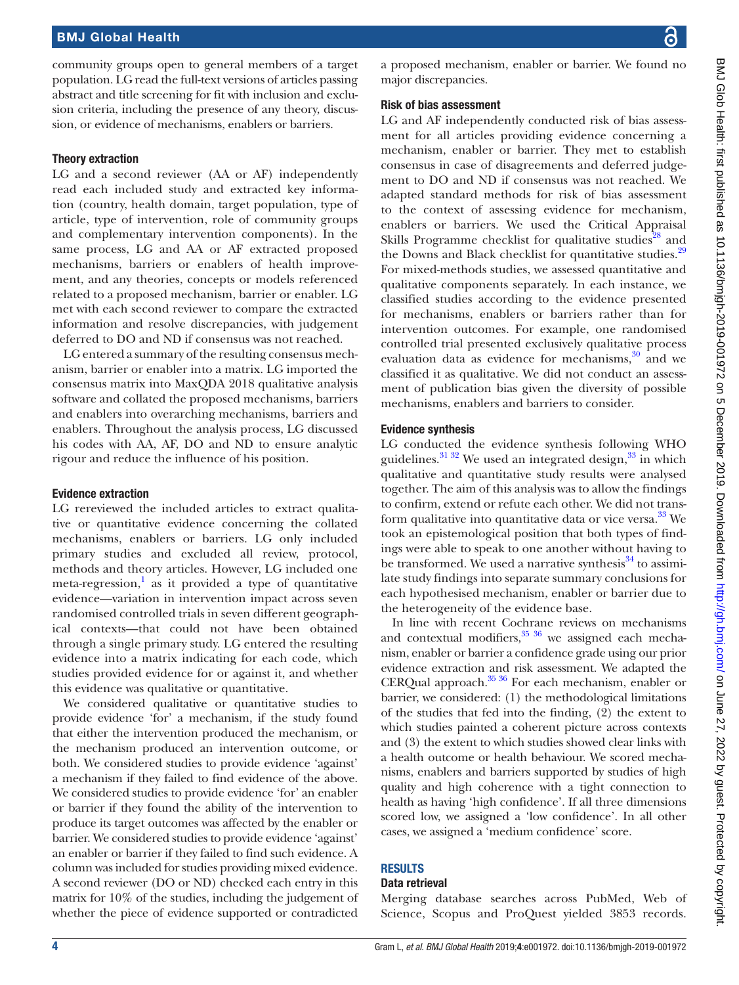# BMJ Global Health

community groups open to general members of a target population. LG read the full-text versions of articles passing abstract and title screening for fit with inclusion and exclusion criteria, including the presence of any theory, discussion, or evidence of mechanisms, enablers or barriers.

#### Theory extraction

LG and a second reviewer (AA or AF) independently read each included study and extracted key information (country, health domain, target population, type of article, type of intervention, role of community groups and complementary intervention components). In the same process, LG and AA or AF extracted proposed mechanisms, barriers or enablers of health improvement, and any theories, concepts or models referenced related to a proposed mechanism, barrier or enabler. LG met with each second reviewer to compare the extracted information and resolve discrepancies, with judgement deferred to DO and ND if consensus was not reached.

LG entered a summary of the resulting consensus mechanism, barrier or enabler into a matrix. LG imported the consensus matrix into MaxQDA 2018 qualitative analysis software and collated the proposed mechanisms, barriers and enablers into overarching mechanisms, barriers and enablers. Throughout the analysis process, LG discussed his codes with AA, AF, DO and ND to ensure analytic rigour and reduce the influence of his position.

#### Evidence extraction

LG rereviewed the included articles to extract qualitative or quantitative evidence concerning the collated mechanisms, enablers or barriers. LG only included primary studies and excluded all review, protocol, methods and theory articles. However, LG included one meta-regression,<sup>[1](#page-13-0)</sup> as it provided a type of quantitative evidence—variation in intervention impact across seven randomised controlled trials in seven different geographical contexts—that could not have been obtained through a single primary study. LG entered the resulting evidence into a matrix indicating for each code, which studies provided evidence for or against it, and whether this evidence was qualitative or quantitative.

We considered qualitative or quantitative studies to provide evidence 'for' a mechanism, if the study found that either the intervention produced the mechanism, or the mechanism produced an intervention outcome, or both. We considered studies to provide evidence 'against' a mechanism if they failed to find evidence of the above. We considered studies to provide evidence 'for' an enabler or barrier if they found the ability of the intervention to produce its target outcomes was affected by the enabler or barrier. We considered studies to provide evidence 'against' an enabler or barrier if they failed to find such evidence. A column was included for studies providing mixed evidence. A second reviewer (DO or ND) checked each entry in this matrix for 10% of the studies, including the judgement of whether the piece of evidence supported or contradicted

a proposed mechanism, enabler or barrier. We found no major discrepancies.

## Risk of bias assessment

LG and AF independently conducted risk of bias assessment for all articles providing evidence concerning a mechanism, enabler or barrier. They met to establish consensus in case of disagreements and deferred judgement to DO and ND if consensus was not reached. We adapted standard methods for risk of bias assessment to the context of assessing evidence for mechanism, enablers or barriers. We used the Critical Appraisal Skills Programme checklist for qualitative studies<sup>28</sup> and the Downs and Black checklist for quantitative studies.<sup>[29](#page-14-22)</sup> For mixed-methods studies, we assessed quantitative and qualitative components separately. In each instance, we classified studies according to the evidence presented for mechanisms, enablers or barriers rather than for intervention outcomes. For example, one randomised controlled trial presented exclusively qualitative process evaluation data as evidence for mechanisms, $30$  and we classified it as qualitative. We did not conduct an assessment of publication bias given the diversity of possible mechanisms, enablers and barriers to consider.

#### Evidence synthesis

LG conducted the evidence synthesis following WHO guidelines.<sup>[31 32](#page-14-24)</sup> We used an integrated design,  $33 \text{ in which}$  $33 \text{ in which}$ qualitative and quantitative study results were analysed together. The aim of this analysis was to allow the findings to confirm, extend or refute each other. We did not trans-form qualitative into quantitative data or vice versa.<sup>[33](#page-14-25)</sup> We took an epistemological position that both types of findings were able to speak to one another without having to be transformed. We used a narrative synthesis $34$  to assimilate study findings into separate summary conclusions for each hypothesised mechanism, enabler or barrier due to the heterogeneity of the evidence base.

In line with recent Cochrane reviews on mechanisms and contextual modifiers, $3536$  we assigned each mechanism, enabler or barrier a confidence grade using our prior evidence extraction and risk assessment. We adapted the CERQual approach.<sup>35</sup> 36</sup> For each mechanism, enabler or barrier, we considered: (1) the methodological limitations of the studies that fed into the finding, (2) the extent to which studies painted a coherent picture across contexts and (3) the extent to which studies showed clear links with a health outcome or health behaviour. We scored mechanisms, enablers and barriers supported by studies of high quality and high coherence with a tight connection to health as having 'high confidence'. If all three dimensions scored low, we assigned a 'low confidence'. In all other cases, we assigned a 'medium confidence' score.

# **RESULTS**

# Data retrieval

Merging database searches across PubMed, Web of Science, Scopus and ProQuest yielded 3853 records.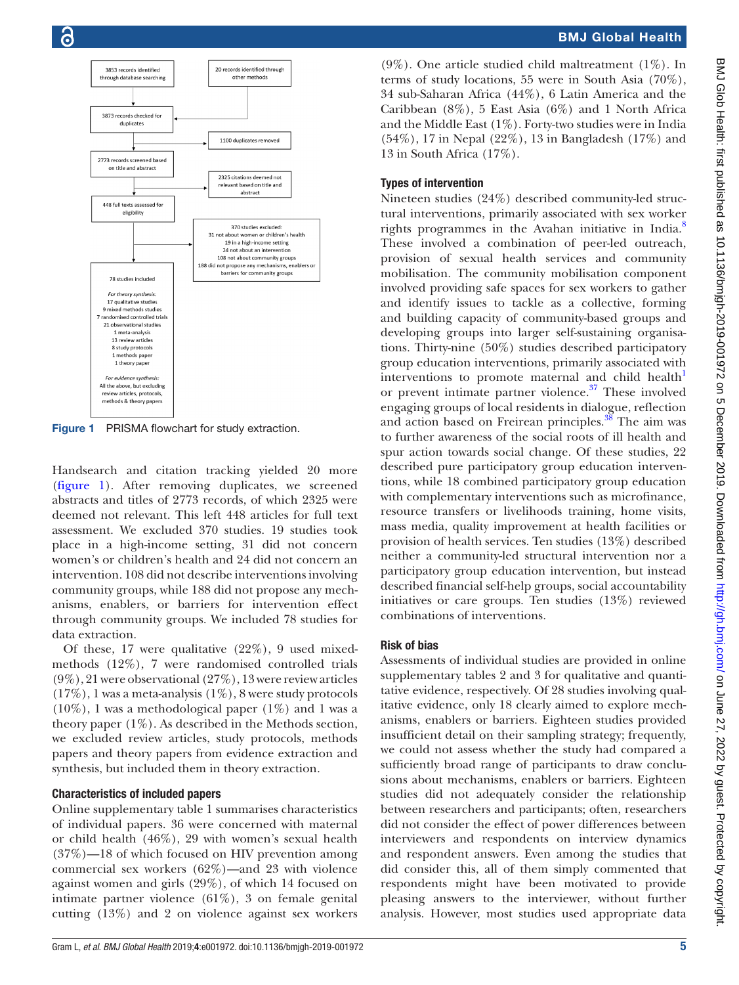

<span id="page-4-0"></span>Figure 1 PRISMA flowchart for study extraction.

Handsearch and citation tracking yielded 20 more [\(figure](#page-4-0) 1). After removing duplicates, we screened abstracts and titles of 2773 records, of which 2325 were deemed not relevant. This left 448 articles for full text assessment. We excluded 370 studies. 19 studies took place in a high-income setting, 31 did not concern women's or children's health and 24 did not concern an intervention. 108 did not describe interventions involving community groups, while 188 did not propose any mechanisms, enablers, or barriers for intervention effect through community groups. We included 78 studies for data extraction.

Of these, 17 were qualitative (22%), 9 used mixedmethods (12%), 7 were randomised controlled trials (9%), 21 were observational (27%), 13 were review articles  $(17\%)$ , 1 was a meta-analysis  $(1\%)$ , 8 were study protocols  $(10\%)$ , 1 was a methodological paper  $(1\%)$  and 1 was a theory paper (1%). As described in the Methods section, we excluded review articles, study protocols, methods papers and theory papers from evidence extraction and synthesis, but included them in theory extraction.

# Characteristics of included papers

[Online supplementary table 1](https://dx.doi.org/10.1136/bmjgh-2019-001972) summarises characteristics of individual papers. 36 were concerned with maternal or child health (46%), 29 with women's sexual health  $(37\%)$ —18 of which focused on HIV prevention among commercial sex workers (62%)—and 23 with violence against women and girls (29%), of which 14 focused on intimate partner violence  $(61\%)$ , 3 on female genital cutting (13%) and 2 on violence against sex workers

 $(9\%)$ . One article studied child maltreatment  $(1\%)$ . In terms of study locations, 55 were in South Asia (70%), 34 sub-Saharan Africa (44%), 6 Latin America and the Caribbean (8%), 5 East Asia (6%) and 1 North Africa and the Middle East (1%). Forty-two studies were in India (54%), 17 in Nepal (22%), 13 in Bangladesh (17%) and 13 in South Africa (17%).

# Types of intervention

Nineteen studies (24%) described community-led structural interventions, primarily associated with sex worker rights programmes in the Avahan initiative in India.<sup>[8](#page-14-5)</sup> These involved a combination of peer-led outreach, provision of sexual health services and community mobilisation. The community mobilisation component involved providing safe spaces for sex workers to gather and identify issues to tackle as a collective, forming and building capacity of community-based groups and developing groups into larger self-sustaining organisations. Thirty-nine (50%) studies described participatory group education interventions, primarily associated with interventions to promote maternal and child health<sup>[1](#page-13-0)</sup> or prevent intimate partner violence. $37$  These involved engaging groups of local residents in dialogue, reflection and action based on Freirean principles.<sup>[38](#page-14-29)</sup> The aim was to further awareness of the social roots of ill health and spur action towards social change. Of these studies, 22 described pure participatory group education interventions, while 18 combined participatory group education with complementary interventions such as microfinance, resource transfers or livelihoods training, home visits, mass media, quality improvement at health facilities or provision of health services. Ten studies (13%) described neither a community-led structural intervention nor a participatory group education intervention, but instead described financial self-help groups, social accountability initiatives or care groups. Ten studies (13%) reviewed combinations of interventions.

# Risk of bias

Assessments of individual studies are provided in [online](https://dx.doi.org/10.1136/bmjgh-2019-001972) [supplementary tables 2](https://dx.doi.org/10.1136/bmjgh-2019-001972) and [3](https://dx.doi.org/10.1136/bmjgh-2019-001972) for qualitative and quantitative evidence, respectively. Of 28 studies involving qualitative evidence, only 18 clearly aimed to explore mechanisms, enablers or barriers. Eighteen studies provided insufficient detail on their sampling strategy; frequently, we could not assess whether the study had compared a sufficiently broad range of participants to draw conclusions about mechanisms, enablers or barriers. Eighteen studies did not adequately consider the relationship between researchers and participants; often, researchers did not consider the effect of power differences between interviewers and respondents on interview dynamics and respondent answers. Even among the studies that did consider this, all of them simply commented that respondents might have been motivated to provide pleasing answers to the interviewer, without further analysis. However, most studies used appropriate data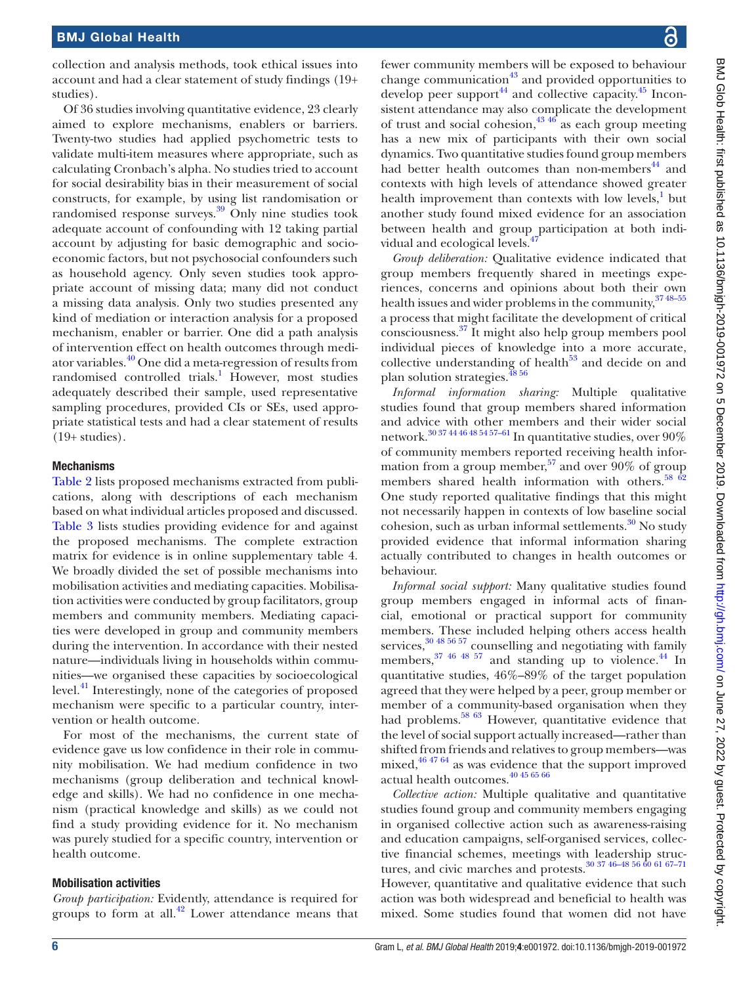collection and analysis methods, took ethical issues into account and had a clear statement of study findings (19+ studies).

Of 36 studies involving quantitative evidence, 23 clearly aimed to explore mechanisms, enablers or barriers. Twenty-two studies had applied psychometric tests to validate multi-item measures where appropriate, such as calculating Cronbach's alpha. No studies tried to account for social desirability bias in their measurement of social constructs, for example, by using list randomisation or randomised response surveys.<sup>39</sup> Only nine studies took adequate account of confounding with 12 taking partial account by adjusting for basic demographic and socioeconomic factors, but not psychosocial confounders such as household agency. Only seven studies took appropriate account of missing data; many did not conduct a missing data analysis. Only two studies presented any kind of mediation or interaction analysis for a proposed mechanism, enabler or barrier. One did a path analysis of intervention effect on health outcomes through mediator variables[.40](#page-14-31) One did a meta-regression of results from randomised controlled trials.<sup>[1](#page-13-0)</sup> However, most studies adequately described their sample, used representative sampling procedures, provided CIs or SEs, used appropriate statistical tests and had a clear statement of results  $(19+$  studies).

#### Mechanisms

[Table](#page-6-0) 2 lists proposed mechanisms extracted from publications, along with descriptions of each mechanism based on what individual articles proposed and discussed. [Table](#page-7-0) 3 lists studies providing evidence for and against the proposed mechanisms. The complete extraction matrix for evidence is in [online supplementary table 4.](https://dx.doi.org/10.1136/bmjgh-2019-001972) We broadly divided the set of possible mechanisms into mobilisation activities and mediating capacities. Mobilisation activities were conducted by group facilitators, group members and community members. Mediating capacities were developed in group and community members during the intervention. In accordance with their nested nature—individuals living in households within communities—we organised these capacities by socioecological level.[41](#page-14-32) Interestingly, none of the categories of proposed mechanism were specific to a particular country, intervention or health outcome.

For most of the mechanisms, the current state of evidence gave us low confidence in their role in community mobilisation. We had medium confidence in two mechanisms (group deliberation and technical knowledge and skills). We had no confidence in one mechanism (practical knowledge and skills) as we could not find a study providing evidence for it. No mechanism was purely studied for a specific country, intervention or health outcome.

#### Mobilisation activities

*Group participation:* Evidently, attendance is required for groups to form at all. $42$  Lower attendance means that

fewer community members will be exposed to behaviour change communication<sup>43</sup> and provided opportunities to develop peer support<sup>44</sup> and collective capacity.<sup>[45](#page-14-36)</sup> Inconsistent attendance may also complicate the development of trust and social cohesion,<sup>43 46</sup> as each group meeting has a new mix of participants with their own social dynamics. Two quantitative studies found group members had better health outcomes than non-members<sup>44</sup> and contexts with high levels of attendance showed greater health improvement than contexts with low levels,<sup>[1](#page-13-0)</sup> but another study found mixed evidence for an association between health and group participation at both individual and ecological levels.<sup>47</sup>

*Group deliberation:* Qualitative evidence indicated that group members frequently shared in meetings experiences, concerns and opinions about both their own health issues and wider problems in the community,  $3748-55$ a process that might facilitate the development of critical consciousness.[37](#page-14-28) It might also help group members pool individual pieces of knowledge into a more accurate, collective understanding of health<sup>53</sup> and decide on and plan solution strategies.<sup>48 56</sup>

*Informal information sharing:* Multiple qualitative studies found that group members shared information and advice with other members and their wider social network. $^{30\,37\,44\,46\,48\,54\,57-61}$  In quantitative studies, over  $90\%$ of community members reported receiving health information from a group member,<sup>57</sup> and over  $90\%$  of group members shared health information with others.<sup>58  $62$ </sup> One study reported qualitative findings that this might not necessarily happen in contexts of low baseline social cohesion, such as urban informal settlements. $30$  No study provided evidence that informal information sharing actually contributed to changes in health outcomes or behaviour.

*Informal social support:* Many qualitative studies found group members engaged in informal acts of financial, emotional or practical support for community members. These included helping others access health services,<sup>[30 48 56 57](#page-14-23)</sup> counselling and negotiating with family members,  $37\frac{46}{48}$  57 and standing up to violence.<sup>44</sup> In quantitative studies, 46%–89% of the target population agreed that they were helped by a peer, group member or member of a community-based organisation when they had problems.<sup>[58 63](#page-15-2)</sup> However, quantitative evidence that the level of social support actually increased—rather than shifted from friends and relatives to group members—was mixed, $46\frac{4764}{3}$  as was evidence that the support improved actual health outcomes.[40 45 65 66](#page-14-31)

*Collective action:* Multiple qualitative and quantitative studies found group and community members engaging in organised collective action such as awareness-raising and education campaigns, self-organised services, collective financial schemes, meetings with leadership structures, and civic marches and protests. $30\frac{3746-4856606167-71}{2000}$ However, quantitative and qualitative evidence that such action was both widespread and beneficial to health was mixed. Some studies found that women did not have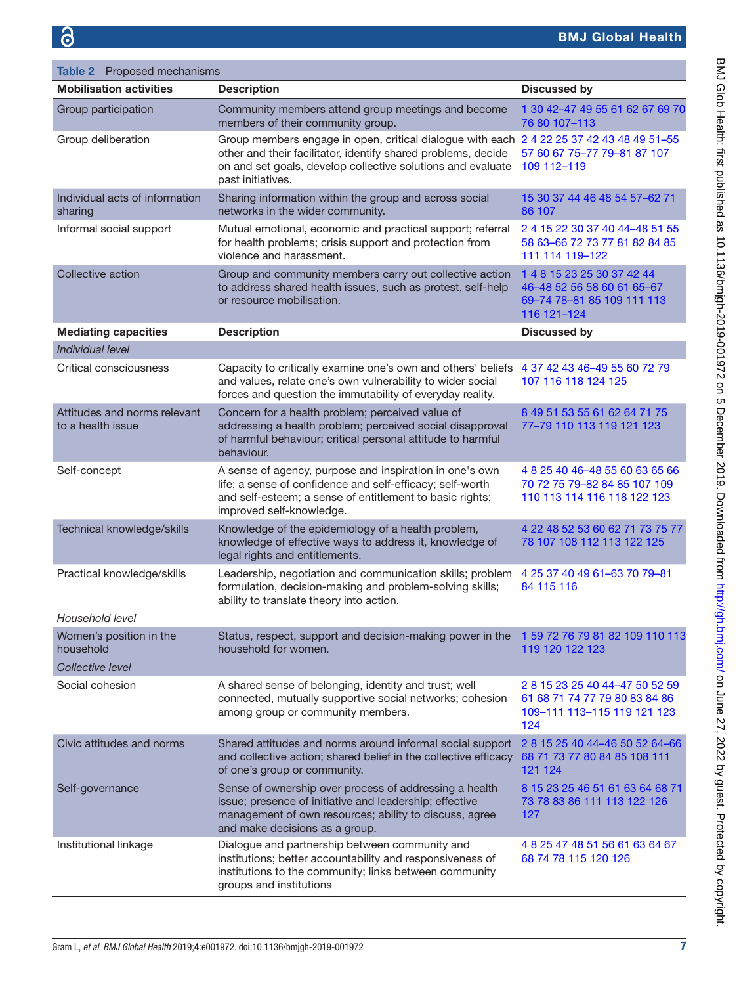<span id="page-6-0"></span>

| Table 2 Proposed mechanisms                       |                                                                                                                                                                                                                                               |                                                                                                         |
|---------------------------------------------------|-----------------------------------------------------------------------------------------------------------------------------------------------------------------------------------------------------------------------------------------------|---------------------------------------------------------------------------------------------------------|
| <b>Mobilisation activities</b>                    | <b>Description</b>                                                                                                                                                                                                                            | <b>Discussed by</b>                                                                                     |
| Group participation                               | Community members attend group meetings and become<br>members of their community group.                                                                                                                                                       | 1 30 42 - 47 49 55 61 62 67 69 70<br>76 80 107-113                                                      |
| Group deliberation                                | Group members engage in open, critical dialogue with each 2 4 22 25 37 42 43 48 49 51-55<br>other and their facilitator, identify shared problems, decide<br>on and set goals, develop collective solutions and evaluate<br>past initiatives. | 57 60 67 75-77 79-81 87 107<br>109 112-119                                                              |
| Individual acts of information<br>sharing         | Sharing information within the group and across social<br>networks in the wider community.                                                                                                                                                    | 15 30 37 44 46 48 54 57-62 71<br>86 107                                                                 |
| Informal social support                           | Mutual emotional, economic and practical support; referral<br>for health problems; crisis support and protection from<br>violence and harassment.                                                                                             | 2 4 15 22 30 37 40 44 - 48 51 55<br>58 63 - 66 72 73 77 81 82 84 85<br>111 114 119-122                  |
| Collective action                                 | Group and community members carry out collective action<br>to address shared health issues, such as protest, self-help<br>or resource mobilisation.                                                                                           | 1 4 8 15 23 25 30 37 42 44<br>46-48 52 56 58 60 61 65-67<br>69-74 78-81 85 109 111 113<br>116 121-124   |
| <b>Mediating capacities</b>                       | <b>Description</b>                                                                                                                                                                                                                            | <b>Discussed by</b>                                                                                     |
| Individual level                                  |                                                                                                                                                                                                                                               |                                                                                                         |
| Critical consciousness                            | Capacity to critically examine one's own and others' beliefs 437424346-4955607279<br>and values, relate one's own vulnerability to wider social<br>forces and question the immutability of everyday reality.                                  | 107 116 118 124 125                                                                                     |
| Attitudes and norms relevant<br>to a health issue | Concern for a health problem; perceived value of<br>addressing a health problem; perceived social disapproval<br>of harmful behaviour; critical personal attitude to harmful<br>behaviour.                                                    | 8 49 51 53 55 61 62 64 71 75<br>77-79 110 113 119 121 123                                               |
| Self-concept                                      | A sense of agency, purpose and inspiration in one's own<br>life; a sense of confidence and self-efficacy; self-worth<br>and self-esteem; a sense of entitlement to basic rights;<br>improved self-knowledge.                                  | 4 8 25 40 46 - 48 55 60 63 65 66<br>70 72 75 79-82 84 85 107 109<br>110 113 114 116 118 122 123         |
| Technical knowledge/skills                        | Knowledge of the epidemiology of a health problem,<br>knowledge of effective ways to address it, knowledge of<br>legal rights and entitlements.                                                                                               | 4 22 48 52 53 60 62 71 73 75 77<br>78 107 108 112 113 122 125                                           |
| Practical knowledge/skills                        | Leadership, negotiation and communication skills; problem<br>formulation, decision-making and problem-solving skills;<br>ability to translate theory into action.                                                                             | 4 25 37 40 49 61 - 63 70 79 - 81<br>84 115 116                                                          |
| Household level                                   |                                                                                                                                                                                                                                               |                                                                                                         |
| Women's position in the<br>household              | Status, respect, support and decision-making power in the<br>household for women.                                                                                                                                                             | 159 72 76 79 81 82 109 110 113<br>119 120 122 123                                                       |
| Collective level                                  |                                                                                                                                                                                                                                               |                                                                                                         |
| Social cohesion                                   | A shared sense of belonging, identity and trust; well<br>connected, mutually supportive social networks; cohesion<br>among group or community members.                                                                                        | 2 8 15 23 25 40 44 - 47 50 52 59<br>61 68 71 74 77 79 80 83 84 86<br>109-111 113-115 119 121 123<br>124 |
| Civic attitudes and norms                         | Shared attitudes and norms around informal social support<br>and collective action; shared belief in the collective efficacy<br>of one's group or community.                                                                                  | 2 8 15 25 40 44-46 50 52 64-66<br>68 71 73 77 80 84 85 108 111<br>121 124                               |
| Self-governance                                   | Sense of ownership over process of addressing a health<br>issue; presence of initiative and leadership; effective<br>management of own resources; ability to discuss, agree<br>and make decisions as a group.                                 | 8 15 23 25 46 51 61 63 64 68 71<br>73 78 83 86 111 113 122 126<br>127                                   |
| Institutional linkage                             | Dialogue and partnership between community and<br>institutions; better accountability and responsiveness of<br>institutions to the community; links between community<br>groups and institutions                                              | 4 8 25 47 48 51 56 61 63 64 67<br>68 74 78 115 120 126                                                  |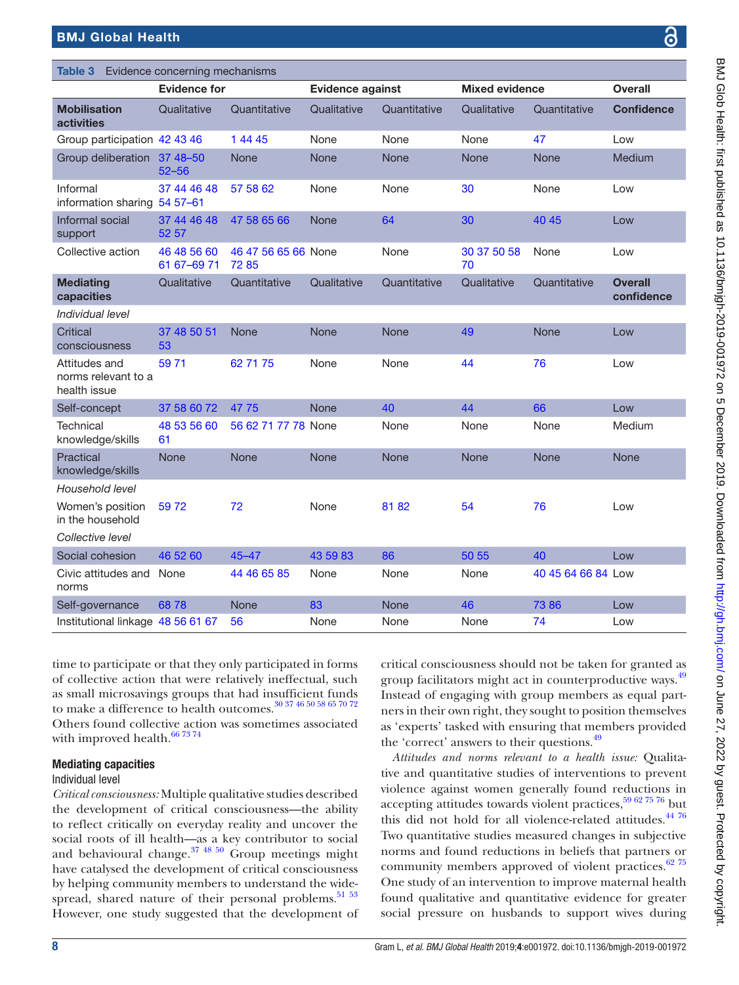<span id="page-7-0"></span>

| <b>Overall</b><br><b>Evidence for</b><br><b>Evidence against</b><br><b>Mixed evidence</b><br><b>Mobilisation</b><br>Quantitative<br>Qualitative<br>Quantitative<br>Qualitative<br>Quantitative<br><b>Confidence</b><br>Qualitative<br><b>activities</b><br>47<br>Group participation 42 43 46<br>1 44 45<br>None<br>None<br>None<br>Low<br>Group deliberation 37 48-50<br><b>None</b><br><b>None</b><br><b>None</b><br><b>None</b><br><b>None</b><br><b>Medium</b><br>$52 - 56$<br>37 44 46 48<br>Informal<br>57 58 62<br>None<br>None<br>30<br>None<br>Low<br>information sharing 54 57-61<br>Informal social<br>37 44 46 48<br>47 58 65 66<br>None<br>64<br>30<br>40 45<br>Low<br>support<br>52 57<br>Collective action<br>46 48 56 60<br>46 47 56 65 66 None<br>None<br>30 37 50 58<br>None<br>Low<br>61 67 - 69 71<br>70<br>7285<br>Qualitative<br>Quantitative<br>Qualitative<br>Quantitative<br>Qualitative<br>Quantitative<br><b>Overall</b><br><b>Mediating</b><br>confidence<br>capacities<br>Individual level<br>None<br>49<br>Critical<br>37 48 50 51<br><b>None</b><br><b>None</b><br>None<br>Low<br>53<br>consciousness<br>44<br>Attitudes and<br>59 71<br>62 71 75<br>None<br>76<br>None<br>Low<br>norms relevant to a<br>health issue<br>40<br>44<br>66<br>37 58 60 72<br>4775<br>None<br>Low<br>Self-concept<br>Technical<br>48 53 56 60<br>56 62 71 77 78 None<br>None<br>Medium<br>None<br>None<br>61<br>knowledge/skills<br>Practical<br><b>None</b><br><b>None</b><br><b>None</b><br>None<br><b>None</b><br><b>None</b><br><b>None</b><br>knowledge/skills<br>Household level<br>72<br>54<br>Women's position<br>5972<br>None<br>8182<br>76<br>Low<br>in the household<br>Collective level<br>86<br>46 52 60<br>43 59 83<br>50 55<br>40<br>Social cohesion<br>$45 - 47$<br>Low<br>Civic attitudes and<br>44 46 65 85<br>None<br>40 45 64 66 84 Low<br>None<br>None<br>None<br>norms<br>6878<br>83<br>None<br>46<br>7386<br>Self-governance<br>None<br>Low | Table 3 | Evidence concerning mechanisms |  |  |  |
|-------------------------------------------------------------------------------------------------------------------------------------------------------------------------------------------------------------------------------------------------------------------------------------------------------------------------------------------------------------------------------------------------------------------------------------------------------------------------------------------------------------------------------------------------------------------------------------------------------------------------------------------------------------------------------------------------------------------------------------------------------------------------------------------------------------------------------------------------------------------------------------------------------------------------------------------------------------------------------------------------------------------------------------------------------------------------------------------------------------------------------------------------------------------------------------------------------------------------------------------------------------------------------------------------------------------------------------------------------------------------------------------------------------------------------------------------------------------------------------------------------------------------------------------------------------------------------------------------------------------------------------------------------------------------------------------------------------------------------------------------------------------------------------------------------------------------------------------------------------------------------------------------------------------------------------------------------------------------------|---------|--------------------------------|--|--|--|
|                                                                                                                                                                                                                                                                                                                                                                                                                                                                                                                                                                                                                                                                                                                                                                                                                                                                                                                                                                                                                                                                                                                                                                                                                                                                                                                                                                                                                                                                                                                                                                                                                                                                                                                                                                                                                                                                                                                                                                               |         |                                |  |  |  |
|                                                                                                                                                                                                                                                                                                                                                                                                                                                                                                                                                                                                                                                                                                                                                                                                                                                                                                                                                                                                                                                                                                                                                                                                                                                                                                                                                                                                                                                                                                                                                                                                                                                                                                                                                                                                                                                                                                                                                                               |         |                                |  |  |  |
|                                                                                                                                                                                                                                                                                                                                                                                                                                                                                                                                                                                                                                                                                                                                                                                                                                                                                                                                                                                                                                                                                                                                                                                                                                                                                                                                                                                                                                                                                                                                                                                                                                                                                                                                                                                                                                                                                                                                                                               |         |                                |  |  |  |
|                                                                                                                                                                                                                                                                                                                                                                                                                                                                                                                                                                                                                                                                                                                                                                                                                                                                                                                                                                                                                                                                                                                                                                                                                                                                                                                                                                                                                                                                                                                                                                                                                                                                                                                                                                                                                                                                                                                                                                               |         |                                |  |  |  |
|                                                                                                                                                                                                                                                                                                                                                                                                                                                                                                                                                                                                                                                                                                                                                                                                                                                                                                                                                                                                                                                                                                                                                                                                                                                                                                                                                                                                                                                                                                                                                                                                                                                                                                                                                                                                                                                                                                                                                                               |         |                                |  |  |  |
|                                                                                                                                                                                                                                                                                                                                                                                                                                                                                                                                                                                                                                                                                                                                                                                                                                                                                                                                                                                                                                                                                                                                                                                                                                                                                                                                                                                                                                                                                                                                                                                                                                                                                                                                                                                                                                                                                                                                                                               |         |                                |  |  |  |
|                                                                                                                                                                                                                                                                                                                                                                                                                                                                                                                                                                                                                                                                                                                                                                                                                                                                                                                                                                                                                                                                                                                                                                                                                                                                                                                                                                                                                                                                                                                                                                                                                                                                                                                                                                                                                                                                                                                                                                               |         |                                |  |  |  |
|                                                                                                                                                                                                                                                                                                                                                                                                                                                                                                                                                                                                                                                                                                                                                                                                                                                                                                                                                                                                                                                                                                                                                                                                                                                                                                                                                                                                                                                                                                                                                                                                                                                                                                                                                                                                                                                                                                                                                                               |         |                                |  |  |  |
|                                                                                                                                                                                                                                                                                                                                                                                                                                                                                                                                                                                                                                                                                                                                                                                                                                                                                                                                                                                                                                                                                                                                                                                                                                                                                                                                                                                                                                                                                                                                                                                                                                                                                                                                                                                                                                                                                                                                                                               |         |                                |  |  |  |
|                                                                                                                                                                                                                                                                                                                                                                                                                                                                                                                                                                                                                                                                                                                                                                                                                                                                                                                                                                                                                                                                                                                                                                                                                                                                                                                                                                                                                                                                                                                                                                                                                                                                                                                                                                                                                                                                                                                                                                               |         |                                |  |  |  |
|                                                                                                                                                                                                                                                                                                                                                                                                                                                                                                                                                                                                                                                                                                                                                                                                                                                                                                                                                                                                                                                                                                                                                                                                                                                                                                                                                                                                                                                                                                                                                                                                                                                                                                                                                                                                                                                                                                                                                                               |         |                                |  |  |  |
|                                                                                                                                                                                                                                                                                                                                                                                                                                                                                                                                                                                                                                                                                                                                                                                                                                                                                                                                                                                                                                                                                                                                                                                                                                                                                                                                                                                                                                                                                                                                                                                                                                                                                                                                                                                                                                                                                                                                                                               |         |                                |  |  |  |
|                                                                                                                                                                                                                                                                                                                                                                                                                                                                                                                                                                                                                                                                                                                                                                                                                                                                                                                                                                                                                                                                                                                                                                                                                                                                                                                                                                                                                                                                                                                                                                                                                                                                                                                                                                                                                                                                                                                                                                               |         |                                |  |  |  |
|                                                                                                                                                                                                                                                                                                                                                                                                                                                                                                                                                                                                                                                                                                                                                                                                                                                                                                                                                                                                                                                                                                                                                                                                                                                                                                                                                                                                                                                                                                                                                                                                                                                                                                                                                                                                                                                                                                                                                                               |         |                                |  |  |  |
|                                                                                                                                                                                                                                                                                                                                                                                                                                                                                                                                                                                                                                                                                                                                                                                                                                                                                                                                                                                                                                                                                                                                                                                                                                                                                                                                                                                                                                                                                                                                                                                                                                                                                                                                                                                                                                                                                                                                                                               |         |                                |  |  |  |
|                                                                                                                                                                                                                                                                                                                                                                                                                                                                                                                                                                                                                                                                                                                                                                                                                                                                                                                                                                                                                                                                                                                                                                                                                                                                                                                                                                                                                                                                                                                                                                                                                                                                                                                                                                                                                                                                                                                                                                               |         |                                |  |  |  |
|                                                                                                                                                                                                                                                                                                                                                                                                                                                                                                                                                                                                                                                                                                                                                                                                                                                                                                                                                                                                                                                                                                                                                                                                                                                                                                                                                                                                                                                                                                                                                                                                                                                                                                                                                                                                                                                                                                                                                                               |         |                                |  |  |  |
|                                                                                                                                                                                                                                                                                                                                                                                                                                                                                                                                                                                                                                                                                                                                                                                                                                                                                                                                                                                                                                                                                                                                                                                                                                                                                                                                                                                                                                                                                                                                                                                                                                                                                                                                                                                                                                                                                                                                                                               |         |                                |  |  |  |
|                                                                                                                                                                                                                                                                                                                                                                                                                                                                                                                                                                                                                                                                                                                                                                                                                                                                                                                                                                                                                                                                                                                                                                                                                                                                                                                                                                                                                                                                                                                                                                                                                                                                                                                                                                                                                                                                                                                                                                               |         |                                |  |  |  |
|                                                                                                                                                                                                                                                                                                                                                                                                                                                                                                                                                                                                                                                                                                                                                                                                                                                                                                                                                                                                                                                                                                                                                                                                                                                                                                                                                                                                                                                                                                                                                                                                                                                                                                                                                                                                                                                                                                                                                                               |         |                                |  |  |  |
| Institutional linkage 48 56 61 67<br>56<br>None<br>None<br>74<br>None<br>Low                                                                                                                                                                                                                                                                                                                                                                                                                                                                                                                                                                                                                                                                                                                                                                                                                                                                                                                                                                                                                                                                                                                                                                                                                                                                                                                                                                                                                                                                                                                                                                                                                                                                                                                                                                                                                                                                                                  |         |                                |  |  |  |

time to participate or that they only participated in forms of collective action that were relatively ineffectual, such as small microsavings groups that had insufficient funds to make a difference to health outcomes.<sup>[30 37 46 50 58 65 70 72](#page-14-23)</sup> Others found collective action was sometimes associated with improved health.<sup>[66 73 74](#page-15-8)</sup>

# Mediating capacities

# Individual level

*Critical consciousness:* Multiple qualitative studies described the development of critical consciousness—the ability to reflect critically on everyday reality and uncover the social roots of ill health—as a key contributor to social and behavioural change.<sup>37</sup> <sup>48 50</sup> Group meetings might have catalysed the development of critical consciousness by helping community members to understand the widespread, shared nature of their personal problems.<sup>51</sup> <sup>53</sup> However, one study suggested that the development of critical consciousness should not be taken for granted as group facilitators might act in counterproductive ways.<sup>[49](#page-15-4)</sup> Instead of engaging with group members as equal partners in their own right, they sought to position themselves as 'experts' tasked with ensuring that members provided the 'correct' answers to their questions.<sup>49</sup>

*Attitudes and norms relevant to a health issue:* Qualitative and quantitative studies of interventions to prevent violence against women generally found reductions in accepting attitudes towards violent practices, $59627576$  but this did not hold for all violence-related attitudes.<sup>[44 76](#page-14-35)</sup> Two quantitative studies measured changes in subjective norms and found reductions in beliefs that partners or community members approved of violent practices.<sup>62 75</sup> One study of an intervention to improve maternal health found qualitative and quantitative evidence for greater social pressure on husbands to support wives during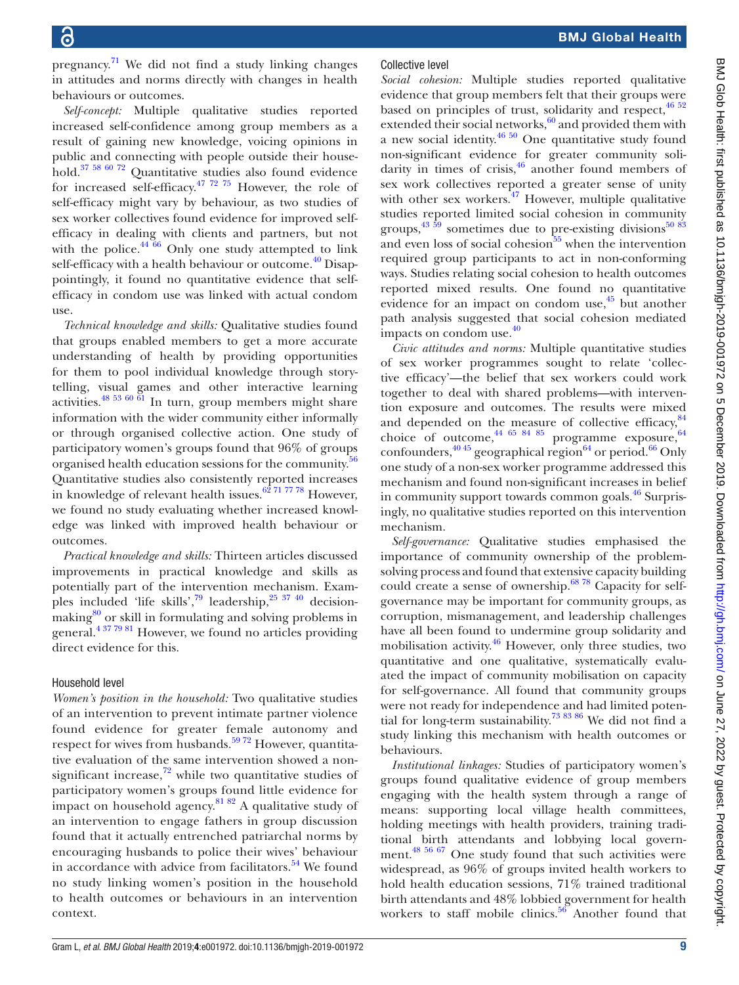pregnancy.<sup>[71](#page-15-20)</sup> We did not find a study linking changes in attitudes and norms directly with changes in health behaviours or outcomes.

*Self-concept:* Multiple qualitative studies reported increased self-confidence among group members as a result of gaining new knowledge, voicing opinions in public and connecting with people outside their household.[37 58 60 72](#page-14-28) Quantitative studies also found evidence for increased self-efficacy.<sup>[47 72 75](#page-14-37)</sup> However, the role of self-efficacy might vary by behaviour, as two studies of sex worker collectives found evidence for improved selfefficacy in dealing with clients and partners, but not with the police. $44\frac{66}{66}$  Only one study attempted to link self-efficacy with a health behaviour or outcome. $^{40}$  Disappointingly, it found no quantitative evidence that selfefficacy in condom use was linked with actual condom use.

*Technical knowledge and skills:* Qualitative studies found that groups enabled members to get a more accurate understanding of health by providing opportunities for them to pool individual knowledge through storytelling, visual games and other interactive learning activities.<sup>[48 53 60 61](#page-14-38)</sup> In turn, group members might share information with the wider community either informally or through organised collective action. One study of participatory women's groups found that 96% of groups organised health education sessions for the community.<sup>56</sup> Quantitative studies also consistently reported increases in knowledge of relevant health issues.<sup>62 71 77</sup> 78 However, we found no study evaluating whether increased knowledge was linked with improved health behaviour or outcomes.

*Practical knowledge and skills:* Thirteen articles discussed improvements in practical knowledge and skills as potentially part of the intervention mechanism. Examples included 'life skills',[79](#page-15-21) leadership,[25 37 40](#page-14-18) decision-making<sup>[80](#page-15-22)</sup> or skill in formulating and solving problems in general.<sup>4 37 79 81</sup> However, we found no articles providing direct evidence for this.

### Household level

*Women's position in the household:* Two qualitative studies of an intervention to prevent intimate partner violence found evidence for greater female autonomy and respect for wives from husbands. $5972$  However, quantitative evaluation of the same intervention showed a nonsignificant increase, $72$  while two quantitative studies of participatory women's groups found little evidence for impact on household agency.<sup>[81 82](#page-15-11)</sup> A qualitative study of an intervention to engage fathers in group discussion found that it actually entrenched patriarchal norms by encouraging husbands to police their wives' behaviour in accordance with advice from facilitators.<sup>54</sup> We found no study linking women's position in the household to health outcomes or behaviours in an intervention context.

# Collective level

*Social cohesion:* Multiple studies reported qualitative evidence that group members felt that their groups were based on principles of trust, solidarity and respect,  $4652$ extended their social networks, $60$  and provided them with a new social identity. $46\,50$  One quantitative study found non-significant evidence for greater community solidarity in times of crisis, $46$  another found members of sex work collectives reported a greater sense of unity with other sex workers. $\frac{47}{1}$  However, multiple qualitative studies reported limited social cohesion in community groups, $43\,59$  sometimes due to pre-existing divisions $50\,83$ and even loss of social cohesion $55$  when the intervention required group participants to act in non-conforming ways. Studies relating social cohesion to health outcomes reported mixed results. One found no quantitative evidence for an impact on condom use,  $45$  but another path analysis suggested that social cohesion mediated impacts on condom use. $40$ 

*Civic attitudes and norms:* Multiple quantitative studies of sex worker programmes sought to relate 'collective efficacy'—the belief that sex workers could work together to deal with shared problems—with intervention exposure and outcomes. The results were mixed and depended on the measure of collective efficacy, choice of outcome,  $44^{65}$   $84^{85}$  programme exposure,  $64$ confounders,  $40\frac{45}{3}$  geographical region<sup>64</sup> or period.<sup>66</sup> Only one study of a non-sex worker programme addressed this mechanism and found non-significant increases in belief in community support towards common goals.<sup>46</sup> Surprisingly, no qualitative studies reported on this intervention mechanism.

*Self-governance:* Qualitative studies emphasised the importance of community ownership of the problemsolving process and found that extensive capacity building could create a sense of ownership.<sup>68</sup> 78 Capacity for selfgovernance may be important for community groups, as corruption, mismanagement, and leadership challenges have all been found to undermine group solidarity and mobilisation activity. [46](#page-14-39) However, only three studies, two quantitative and one qualitative, systematically evaluated the impact of community mobilisation on capacity for self-governance. All found that community groups were not ready for independence and had limited poten-tial for long-term sustainability.<sup>[73 83 86](#page-15-17)</sup> We did not find a study linking this mechanism with health outcomes or behaviours.

*Institutional linkages:* Studies of participatory women's groups found qualitative evidence of group members engaging with the health system through a range of means: supporting local village health committees, holding meetings with health providers, training traditional birth attendants and lobbying local government[.48 56 67](#page-14-38) One study found that such activities were widespread, as 96% of groups invited health workers to hold health education sessions, 71% trained traditional birth attendants and 48% lobbied government for health workers to staff mobile clinics. $56$  Another found that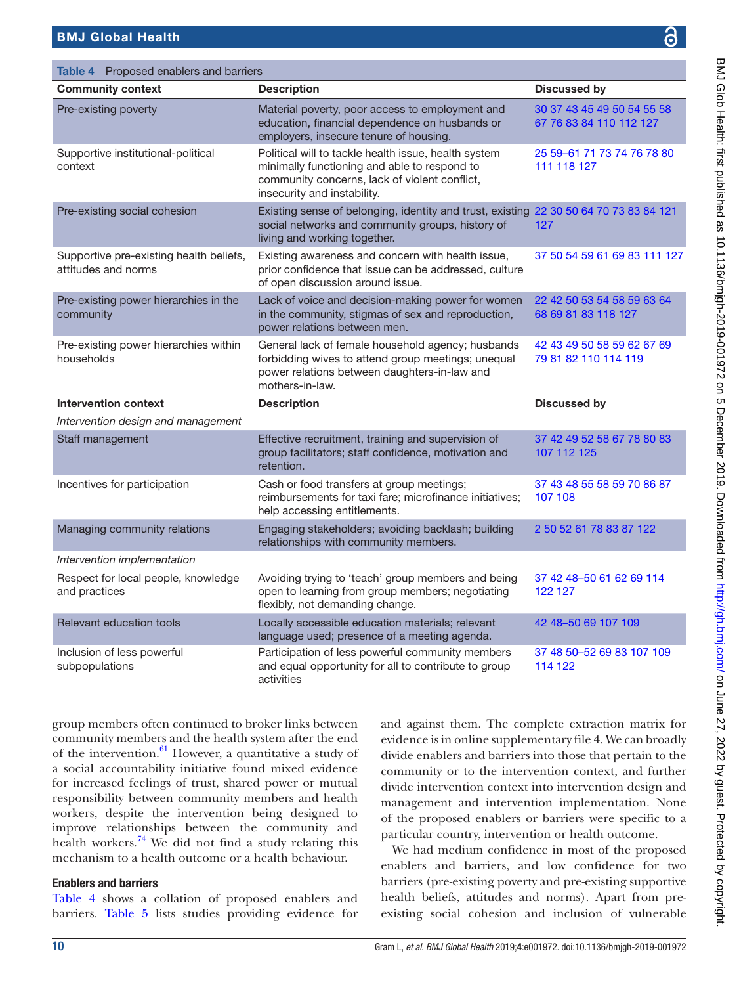<span id="page-9-0"></span>

| <b>Community context</b>                                       | Table 4 Proposed enablers and barriers<br><b>Description</b>                                                                                                                         | Discussed by                                          |
|----------------------------------------------------------------|--------------------------------------------------------------------------------------------------------------------------------------------------------------------------------------|-------------------------------------------------------|
| Pre-existing poverty                                           | Material poverty, poor access to employment and<br>education, financial dependence on husbands or<br>employers, insecure tenure of housing.                                          | 30 37 43 45 49 50 54 55 58<br>67 76 83 84 110 112 127 |
| Supportive institutional-political<br>context                  | Political will to tackle health issue, health system<br>minimally functioning and able to respond to<br>community concerns, lack of violent conflict,<br>insecurity and instability. | 25 59 - 61 71 73 74 76 78 80<br>111 118 127           |
| Pre-existing social cohesion                                   | Existing sense of belonging, identity and trust, existing 22 30 50 64 70 73 83 84 121<br>social networks and community groups, history of<br>living and working together.            | 127                                                   |
| Supportive pre-existing health beliefs,<br>attitudes and norms | Existing awareness and concern with health issue,<br>prior confidence that issue can be addressed, culture<br>of open discussion around issue.                                       | 37 50 54 59 61 69 83 111 127                          |
| Pre-existing power hierarchies in the<br>community             | Lack of voice and decision-making power for women<br>in the community, stigmas of sex and reproduction,<br>power relations between men.                                              | 22 42 50 53 54 58 59 63 64<br>68 69 81 83 118 127     |
| Pre-existing power hierarchies within<br>households            | General lack of female household agency; husbands<br>forbidding wives to attend group meetings; unequal<br>power relations between daughters-in-law and<br>mothers-in-law.           | 42 43 49 50 58 59 62 67 69<br>79 81 82 110 114 119    |
| <b>Intervention context</b>                                    | <b>Description</b>                                                                                                                                                                   | Discussed by                                          |
| Intervention design and management                             |                                                                                                                                                                                      |                                                       |
| Staff management                                               | Effective recruitment, training and supervision of<br>group facilitators; staff confidence, motivation and<br>retention.                                                             | 37 42 49 52 58 67 78 80 83<br>107 112 125             |
| Incentives for participation                                   | Cash or food transfers at group meetings;<br>reimbursements for taxi fare; microfinance initiatives;<br>help accessing entitlements.                                                 | 37 43 48 55 58 59 70 86 87<br>107 108                 |
| Managing community relations                                   | Engaging stakeholders; avoiding backlash; building<br>relationships with community members.                                                                                          | 2 50 52 61 78 83 87 122                               |
| Intervention implementation                                    |                                                                                                                                                                                      |                                                       |
| Respect for local people, knowledge<br>and practices           | Avoiding trying to 'teach' group members and being<br>open to learning from group members; negotiating<br>flexibly, not demanding change.                                            | 37 42 48-50 61 62 69 114<br>122 127                   |
| Relevant education tools                                       | Locally accessible education materials; relevant<br>language used; presence of a meeting agenda.                                                                                     | 42 48-50 69 107 109                                   |
| Inclusion of less powerful<br>subpopulations                   | Participation of less powerful community members<br>and equal opportunity for all to contribute to group<br>activities                                                               | 37 48 50 - 52 69 83 107 109<br>114 122                |

group members often continued to broker links between community members and the health system after the end of the intervention. $^{61}$  However, a quantitative a study of a social accountability initiative found mixed evidence for increased feelings of trust, shared power or mutual responsibility between community members and health workers, despite the intervention being designed to improve relationships between the community and health workers.<sup>[74](#page-15-18)</sup> We did not find a study relating this mechanism to a health outcome or a health behaviour.

# Enablers and barriers

[Table](#page-9-0) 4 shows a collation of proposed enablers and barriers. [Table](#page-10-0) 5 lists studies providing evidence for and against them. The complete extraction matrix for evidence is in [online supplementary file 4.](https://dx.doi.org/10.1136/bmjgh-2019-001972) We can broadly divide enablers and barriers into those that pertain to the community or to the intervention context, and further divide intervention context into intervention design and management and intervention implementation. None of the proposed enablers or barriers were specific to a particular country, intervention or health outcome.

We had medium confidence in most of the proposed enablers and barriers, and low confidence for two barriers (pre-existing poverty and pre-existing supportive health beliefs, attitudes and norms). Apart from preexisting social cohesion and inclusion of vulnerable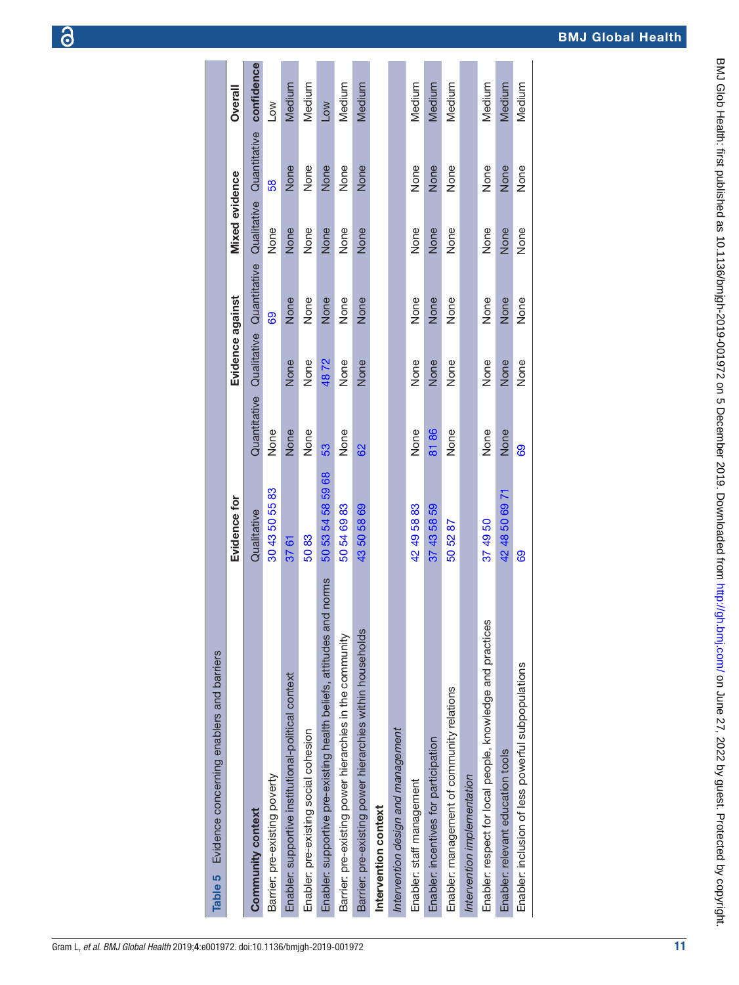<span id="page-10-0"></span>

| Evidence concerning enablers and barriers<br>Table 5                    |                   |      |                  |                                       |                       |              |            |
|-------------------------------------------------------------------------|-------------------|------|------------------|---------------------------------------|-----------------------|--------------|------------|
|                                                                         | Evidence for      |      | Evidence against |                                       | <b>Mixed evidence</b> |              | Overall    |
| <b>Community context</b>                                                | Qualitative       |      |                  | Quantitative Qualitative Quantitative | Qualitative           | Quantitative | confidence |
| Barrier: pre-existing poverty                                           | 30 43 50 55 83    | None |                  | 89                                    | None                  | 58           | Low        |
| Enabler: supportive institutional-political context                     | 3761              | None | None             | None                                  | None                  | None         | Medium     |
| Enabler: pre-existing social cohesion                                   | 5083              | None | None             | None                                  | None                  | None         | Medium     |
| norms<br>Enabler: supportive pre-existing health beliefs, attitudes and | 50 53 54 58 59 68 | 53   | 4872             | None                                  | None                  | None         | Low        |
| Barrier: pre-existing power hierarchies in the community                | 50 54 69 83       | None | None             | None                                  | None                  | None         | Medium     |
| Barrier: pre-existing power hierarchies within households               | 43505869          | 82   | None             | None                                  | None                  | None         | Medium     |
| Intervention context                                                    |                   |      |                  |                                       |                       |              |            |
| Intervention design and management                                      |                   |      |                  |                                       |                       |              |            |
| Enabler: staff management                                               | 42 49 58 83       | None | None             | None                                  | None                  | None         | Medium     |
| Enabler: incentives for participation                                   | 37 43 58 59       | 8186 | None             | None                                  | None                  | None         | Medium     |
| Enabler: management of community relations                              | 50 52 87          | None | None             | None                                  | None                  | None         | Medium     |
| Intervention implementation                                             |                   |      |                  |                                       |                       |              |            |
| Enabler: respect for local people, knowledge and practices              | 37 49 50          | None | None             | None                                  | None                  | None         | Medium     |
| Enabler: relevant education tools                                       | 42 48 50 69 71    | None | None             | None                                  | None                  | None         | Medium     |
| Enabler: inclusion of less powerful subpopulations                      | 89                | 89   | None             | None                                  | None                  | None         | Medium     |
|                                                                         |                   |      |                  |                                       |                       |              |            |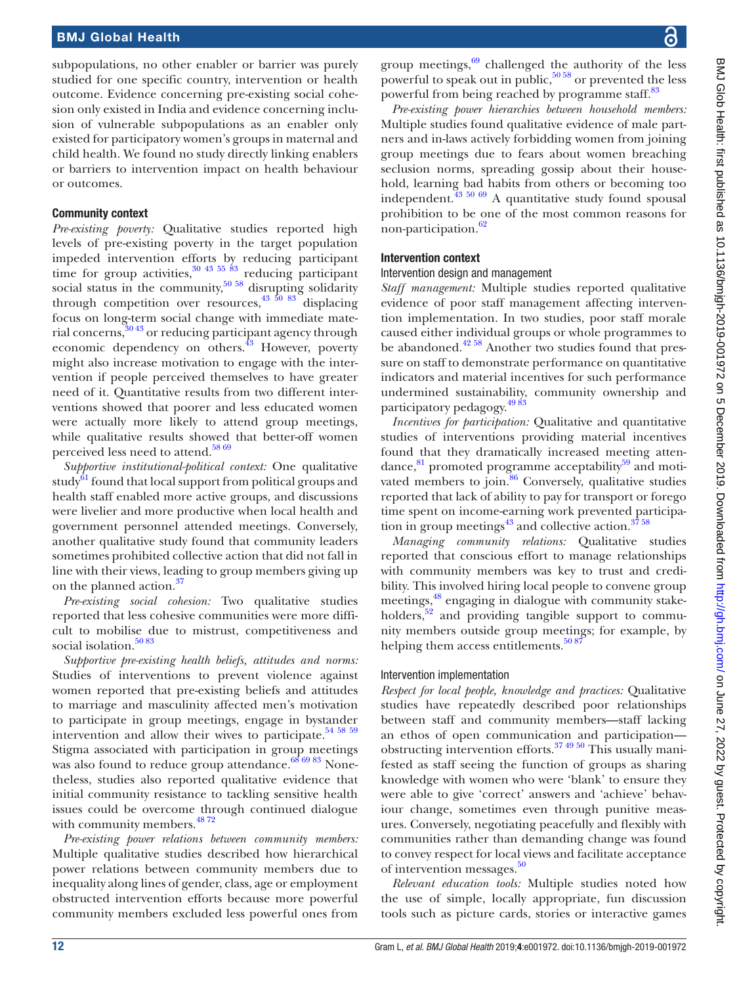subpopulations, no other enabler or barrier was purely studied for one specific country, intervention or health outcome. Evidence concerning pre-existing social cohesion only existed in India and evidence concerning inclusion of vulnerable subpopulations as an enabler only existed for participatory women's groups in maternal and child health. We found no study directly linking enablers or barriers to intervention impact on health behaviour or outcomes.

### Community context

*Pre-existing poverty:* Qualitative studies reported high levels of pre-existing poverty in the target population impeded intervention efforts by reducing participant time for group activities,  $30\,43\,55\,83$  reducing participant social status in the community, $50\,58$  disrupting solidarity through competition over resources,  $43\frac{50\frac{83}{10}}{10}$  displacing focus on long-term social change with immediate material concerns,<sup>3043</sup> or reducing participant agency through economic dependency on others.<sup>[43](#page-14-34)</sup> However, poverty might also increase motivation to engage with the intervention if people perceived themselves to have greater need of it. Quantitative results from two different interventions showed that poorer and less educated women were actually more likely to attend group meetings, while qualitative results showed that better-off women perceived less need to attend.<sup>[58 69](#page-15-2)</sup>

*Supportive institutional-political context:* One qualitative study $61$  found that local support from political groups and health staff enabled more active groups, and discussions were livelier and more productive when local health and government personnel attended meetings. Conversely, another qualitative study found that community leaders sometimes prohibited collective action that did not fall in line with their views, leading to group members giving up on the planned action.<sup>[37](#page-14-28)</sup>

*Pre-existing social cohesion:* Two qualitative studies reported that less cohesive communities were more difficult to mobilise due to mistrust, competitiveness and social isolation.<sup>[50 83](#page-15-14)</sup>

*Supportive pre-existing health beliefs, attitudes and norms:* Studies of interventions to prevent violence against women reported that pre-existing beliefs and attitudes to marriage and masculinity affected men's motivation to participate in group meetings, engage in bystander intervention and allow their wives to participate.  $54\frac{54}{58}\frac{59}{59}$ Stigma associated with participation in group meetings was also found to reduce group attendance.<sup>68 69 83</sup> Nonetheless, studies also reported qualitative evidence that initial community resistance to tackling sensitive health issues could be overcome through continued dialogue with community members.<sup>4872</sup>

*Pre-existing power relations between community members:* Multiple qualitative studies described how hierarchical power relations between community members due to inequality along lines of gender, class, age or employment obstructed intervention efforts because more powerful community members excluded less powerful ones from

group meetings, $69$  challenged the authority of the less powerful to speak out in public,  $\frac{50,50,58}{50}$  or prevented the less powerful from being reached by programme staff.<sup>[83](#page-15-16)</sup>

*Pre-existing power hierarchies between household members:* Multiple studies found qualitative evidence of male partners and in-laws actively forbidding women from joining group meetings due to fears about women breaching seclusion norms, spreading gossip about their household, learning bad habits from others or becoming too independent. $43\frac{50\frac{69}{2}}{4}$  A quantitative study found spousal prohibition to be one of the most common reasons for non-participation.<sup>[62](#page-15-6)</sup>

### Intervention context

#### Intervention design and management

*Staff management:* Multiple studies reported qualitative evidence of poor staff management affecting intervention implementation. In two studies, poor staff morale caused either individual groups or whole programmes to be abandoned. $42\frac{58}{2}$  Another two studies found that pressure on staff to demonstrate performance on quantitative indicators and material incentives for such performance undermined sustainability, community ownership and participatory pedagogy.<sup>4983</sup>

*Incentives for participation:* Qualitative and quantitative studies of interventions providing material incentives found that they dramatically increased meeting attendance, $81$  promoted programme acceptability $59$  and motivated members to join.<sup>86</sup> Conversely, qualitative studies reported that lack of ability to pay for transport or forego time spent on income-earning work prevented participation in group meetings $43$  and collective action.  $3758$ 

*Managing community relations:* Qualitative studies reported that conscious effort to manage relationships with community members was key to trust and credibility. This involved hiring local people to convene group meetings,<sup>48</sup> engaging in dialogue with community stakeholders,<sup>52</sup> and providing tangible support to community members outside group meetings; for example, by helping them access entitlements. $50\frac{87}{2}$ 

#### Intervention implementation

*Respect for local people, knowledge and practices:* Qualitative studies have repeatedly described poor relationships between staff and community members—staff lacking an ethos of open communication and participation obstructing intervention efforts.  $374950$  This usually manifested as staff seeing the function of groups as sharing knowledge with women who were 'blank' to ensure they were able to give 'correct' answers and 'achieve' behaviour change, sometimes even through punitive measures. Conversely, negotiating peacefully and flexibly with communities rather than demanding change was found to convey respect for local views and facilitate acceptance of intervention messages.<sup>50</sup>

*Relevant education tools:* Multiple studies noted how the use of simple, locally appropriate, fun discussion tools such as picture cards, stories or interactive games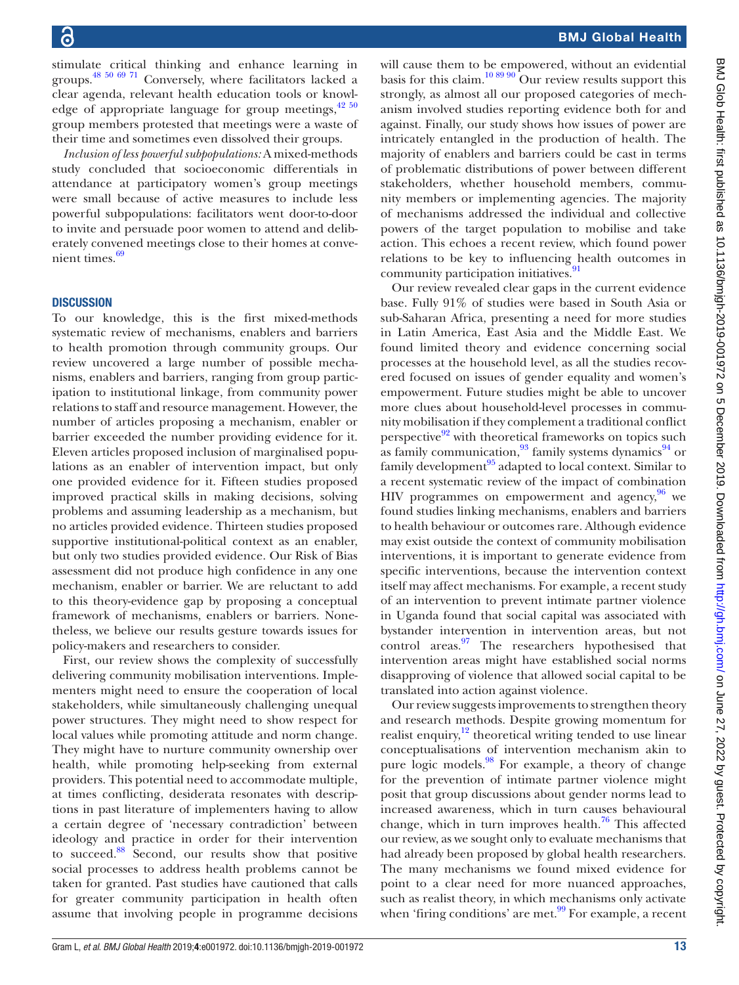stimulate critical thinking and enhance learning in groups.<sup>[48 50 69 71](#page-14-38)</sup> Conversely, where facilitators lacked a clear agenda, relevant health education tools or knowledge of appropriate language for group meetings,  $42\frac{50}{2}$ group members protested that meetings were a waste of their time and sometimes even dissolved their groups.

*Inclusion of less powerful subpopulations:* A mixed-methods study concluded that socioeconomic differentials in attendance at participatory women's group meetings were small because of active measures to include less powerful subpopulations: facilitators went door-to-door to invite and persuade poor women to attend and deliberately convened meetings close to their homes at conve-nient times.<sup>[69](#page-15-27)</sup>

## **DISCUSSION**

To our knowledge, this is the first mixed-methods systematic review of mechanisms, enablers and barriers to health promotion through community groups. Our review uncovered a large number of possible mechanisms, enablers and barriers, ranging from group participation to institutional linkage, from community power relations to staff and resource management. However, the number of articles proposing a mechanism, enabler or barrier exceeded the number providing evidence for it. Eleven articles proposed inclusion of marginalised populations as an enabler of intervention impact, but only one provided evidence for it. Fifteen studies proposed improved practical skills in making decisions, solving problems and assuming leadership as a mechanism, but no articles provided evidence. Thirteen studies proposed supportive institutional-political context as an enabler, but only two studies provided evidence. Our Risk of Bias assessment did not produce high confidence in any one mechanism, enabler or barrier. We are reluctant to add to this theory-evidence gap by proposing a conceptual framework of mechanisms, enablers or barriers. Nonetheless, we believe our results gesture towards issues for policy-makers and researchers to consider.

First, our review shows the complexity of successfully delivering community mobilisation interventions. Implementers might need to ensure the cooperation of local stakeholders, while simultaneously challenging unequal power structures. They might need to show respect for local values while promoting attitude and norm change. They might have to nurture community ownership over health, while promoting help-seeking from external providers. This potential need to accommodate multiple, at times conflicting, desiderata resonates with descriptions in past literature of implementers having to allow a certain degree of 'necessary contradiction' between ideology and practice in order for their intervention to succeed.<sup>88</sup> Second, our results show that positive social processes to address health problems cannot be taken for granted. Past studies have cautioned that calls for greater community participation in health often assume that involving people in programme decisions

will cause them to be empowered, without an evidential basis for this claim.<sup>10 89 90</sup> Our review results support this strongly, as almost all our proposed categories of mechanism involved studies reporting evidence both for and against. Finally, our study shows how issues of power are intricately entangled in the production of health. The majority of enablers and barriers could be cast in terms of problematic distributions of power between different stakeholders, whether household members, community members or implementing agencies. The majority of mechanisms addressed the individual and collective powers of the target population to mobilise and take action. This echoes a recent review, which found power relations to be key to influencing health outcomes in community participation initiatives.<sup>91</sup>

Our review revealed clear gaps in the current evidence base. Fully 91% of studies were based in South Asia or sub-Saharan Africa, presenting a need for more studies in Latin America, East Asia and the Middle East. We found limited theory and evidence concerning social processes at the household level, as all the studies recovered focused on issues of gender equality and women's empowerment. Future studies might be able to uncover more clues about household-level processes in community mobilisation if they complement a traditional conflict perspective $92$  with theoretical frameworks on topics such as family communication, $93$  family systems dynamics $94$  or family development $95$  adapted to local context. Similar to a recent systematic review of the impact of combination HIV programmes on empowerment and agency, $96$  we found studies linking mechanisms, enablers and barriers to health behaviour or outcomes rare. Although evidence may exist outside the context of community mobilisation interventions, it is important to generate evidence from specific interventions, because the intervention context itself may affect mechanisms. For example, a recent study of an intervention to prevent intimate partner violence in Uganda found that social capital was associated with bystander intervention in intervention areas, but not control areas. $\frac{97}{2}$  The researchers hypothesised that intervention areas might have established social norms disapproving of violence that allowed social capital to be translated into action against violence.

Our review suggests improvements to strengthen theory and research methods. Despite growing momentum for realist enquiry, $^{12}$  $^{12}$  $^{12}$  theoretical writing tended to use linear conceptualisations of intervention mechanism akin to pure logic models.<sup>[98](#page-16-6)</sup> For example, a theory of change for the prevention of intimate partner violence might posit that group discussions about gender norms lead to increased awareness, which in turn causes behavioural change, which in turn improves health. $76$  This affected our review, as we sought only to evaluate mechanisms that had already been proposed by global health researchers. The many mechanisms we found mixed evidence for point to a clear need for more nuanced approaches, such as realist theory, in which mechanisms only activate when 'firing conditions' are met. $99$  For example, a recent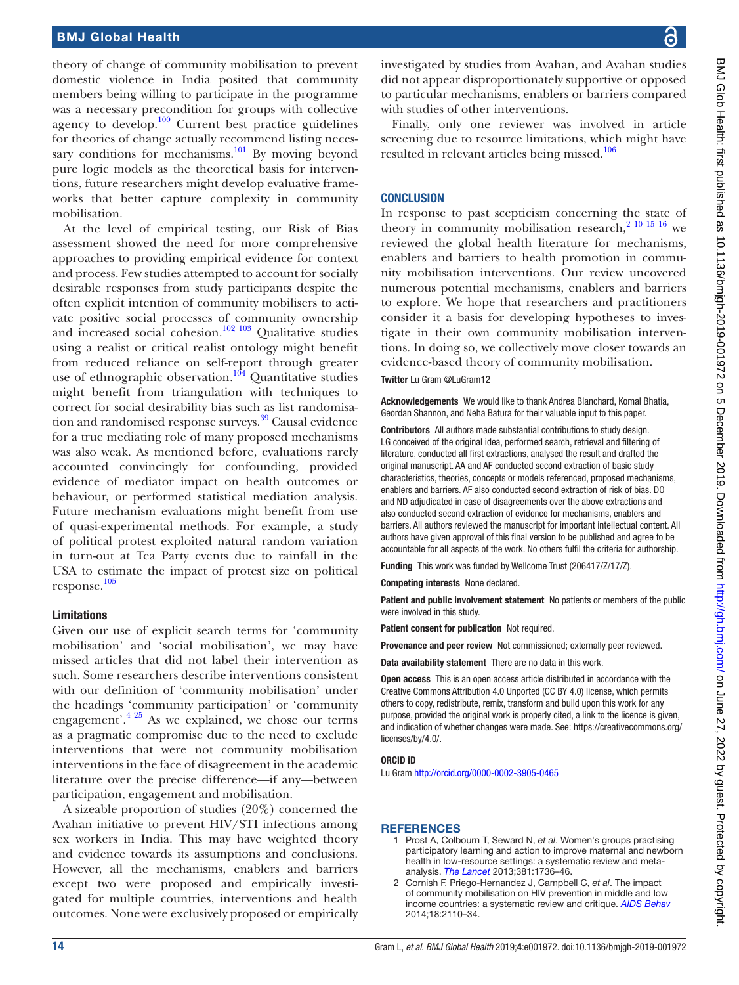theory of change of community mobilisation to prevent domestic violence in India posited that community members being willing to participate in the programme was a necessary precondition for groups with collective agency to develop.<sup>100</sup> Current best practice guidelines for theories of change actually recommend listing necessary conditions for mechanisms. $^{101}$  By moving beyond pure logic models as the theoretical basis for interventions, future researchers might develop evaluative frameworks that better capture complexity in community mobilisation.

At the level of empirical testing, our Risk of Bias assessment showed the need for more comprehensive approaches to providing empirical evidence for context and process. Few studies attempted to account for socially desirable responses from study participants despite the often explicit intention of community mobilisers to activate positive social processes of community ownership and increased social cohesion.<sup>102 103</sup> Qualitative studies using a realist or critical realist ontology might benefit from reduced reliance on self-report through greater use of ethnographic observation.<sup>[104](#page-16-11)</sup> Quantitative studies might benefit from triangulation with techniques to correct for social desirability bias such as list randomisation and randomised response surveys.<sup>39</sup> Causal evidence for a true mediating role of many proposed mechanisms was also weak. As mentioned before, evaluations rarely accounted convincingly for confounding, provided evidence of mediator impact on health outcomes or behaviour, or performed statistical mediation analysis. Future mechanism evaluations might benefit from use of quasi-experimental methods. For example, a study of political protest exploited natural random variation in turn-out at Tea Party events due to rainfall in the USA to estimate the impact of protest size on political response. [105](#page-16-12)

# Limitations

Given our use of explicit search terms for 'community mobilisation' and 'social mobilisation', we may have missed articles that did not label their intervention as such. Some researchers describe interventions consistent with our definition of 'community mobilisation' under the headings 'community participation' or 'community engagement'.[4 25](#page-14-1) As we explained, we chose our terms as a pragmatic compromise due to the need to exclude interventions that were not community mobilisation interventions in the face of disagreement in the academic literature over the precise difference—if any—between participation, engagement and mobilisation.

A sizeable proportion of studies (20%) concerned the Avahan initiative to prevent HIV/STI infections among sex workers in India. This may have weighted theory and evidence towards its assumptions and conclusions. However, all the mechanisms, enablers and barriers except two were proposed and empirically investigated for multiple countries, interventions and health outcomes. None were exclusively proposed or empirically

investigated by studies from Avahan, and Avahan studies did not appear disproportionately supportive or opposed to particular mechanisms, enablers or barriers compared with studies of other interventions.

Finally, only one reviewer was involved in article screening due to resource limitations, which might have resulted in relevant articles being missed.<sup>106</sup>

### **CONCLUSION**

In response to past scepticism concerning the state of theory in community mobilisation research, $2^{10}$  15 16 we reviewed the global health literature for mechanisms, enablers and barriers to health promotion in community mobilisation interventions. Our review uncovered numerous potential mechanisms, enablers and barriers to explore. We hope that researchers and practitioners consider it a basis for developing hypotheses to investigate in their own community mobilisation interventions. In doing so, we collectively move closer towards an evidence-based theory of community mobilisation.

Twitter Lu Gram [@LuGram12](https://twitter.com/LuGram12)

Acknowledgements We would like to thank Andrea Blanchard, Komal Bhatia, Geordan Shannon, and Neha Batura for their valuable input to this paper.

Contributors All authors made substantial contributions to study design. LG conceived of the original idea, performed search, retrieval and filtering of literature, conducted all first extractions, analysed the result and drafted the original manuscript. AA and AF conducted second extraction of basic study characteristics, theories, concepts or models referenced, proposed mechanisms, enablers and barriers. AF also conducted second extraction of risk of bias. DO and ND adjudicated in case of disagreements over the above extractions and also conducted second extraction of evidence for mechanisms, enablers and barriers. All authors reviewed the manuscript for important intellectual content. All authors have given approval of this final version to be published and agree to be accountable for all aspects of the work. No others fulfil the criteria for authorship.

Funding This work was funded by Wellcome Trust (206417/Z/17/Z).

Competing interests None declared.

Patient and public involvement statement No patients or members of the public were involved in this study.

Patient consent for publication Not required.

Provenance and peer review Not commissioned; externally peer reviewed.

Data availability statement There are no data in this work.

Open access This is an open access article distributed in accordance with the Creative Commons Attribution 4.0 Unported (CC BY 4.0) license, which permits others to copy, redistribute, remix, transform and build upon this work for any purpose, provided the original work is properly cited, a link to the licence is given, and indication of whether changes were made. See: [https://creativecommons.org/](https://creativecommons.org/licenses/by/4.0/) [licenses/by/4.0/](https://creativecommons.org/licenses/by/4.0/).

#### ORCID iD

Lu Gram<http://orcid.org/0000-0002-3905-0465>

#### <span id="page-13-0"></span>**REFERENCES**

- 1 Prost A, Colbourn T, Seward N, *et al*. Women's groups practising participatory learning and action to improve maternal and newborn health in low-resource settings: a systematic review and metaanalysis. *[The Lancet](http://dx.doi.org/10.1016/S0140-6736(13)60685-6)* 2013;381:1736–46.
- <span id="page-13-1"></span>2 Cornish F, Priego-Hernandez J, Campbell C, *et al*. The impact of community mobilisation on HIV prevention in middle and low income countries: a systematic review and critique. *[AIDS Behav](http://dx.doi.org/10.1007/s10461-014-0748-5)* 2014;18:2110–34.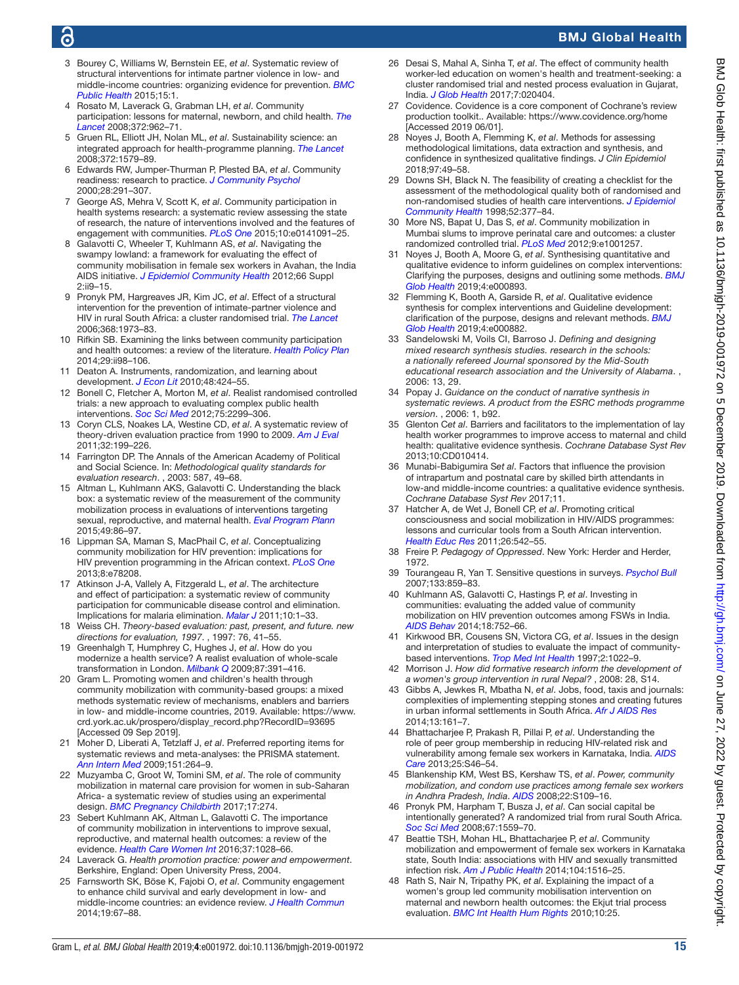# 6

# BMJ Global Health

- <span id="page-14-0"></span>3 Bourey C, Williams W, Bernstein EE, *et al*. Systematic review of structural interventions for intimate partner violence in low- and middle-income countries: organizing evidence for prevention. *[BMC](http://dx.doi.org/10.1186/s12889-015-2460-4)  [Public Health](http://dx.doi.org/10.1186/s12889-015-2460-4)* 2015;15:1.
- <span id="page-14-1"></span>4 Rosato M, Laverack G, Grabman LH, *et al*. Community participation: lessons for maternal, newborn, and child health. *[The](http://dx.doi.org/10.1016/S0140-6736(08)61406-3)  [Lancet](http://dx.doi.org/10.1016/S0140-6736(08)61406-3)* 2008;372:962–71.
- <span id="page-14-2"></span>5 Gruen RL, Elliott JH, Nolan ML, *et al*. Sustainability science: an integrated approach for health-programme planning. *[The Lancet](http://dx.doi.org/10.1016/S0140-6736(08)61659-1)* 2008;372:1579–89.
- <span id="page-14-3"></span>6 Edwards RW, Jumper-Thurman P, Plested BA, *et al*. Community readiness: research to practice. *[J Community Psychol](http://dx.doi.org/10.1002/(SICI)1520-6629(200005)28:3<291::AID-JCOP5>3.0.CO;2-9)* 2000;28:291–307.
- <span id="page-14-4"></span>7 George AS, Mehra V, Scott K, *et al*. Community participation in health systems research: a systematic review assessing the state of research, the nature of interventions involved and the features of engagement with communities. *[PLoS One](http://dx.doi.org/10.1371/journal.pone.0141091)* 2015;10:e0141091–25.
- <span id="page-14-5"></span>8 Galavotti C, Wheeler T, Kuhlmann AS, *et al*. Navigating the swampy lowland: a framework for evaluating the effect of community mobilisation in female sex workers in Avahan, the India AIDS initiative. *[J Epidemiol Community Health](http://dx.doi.org/10.1136/jech-2011-200465)* 2012;66 Suppl 2:ii9–15.
- <span id="page-14-6"></span>9 Pronyk PM, Hargreaves JR, Kim JC, *et al*. Effect of a structural intervention for the prevention of intimate-partner violence and HIV in rural South Africa: a cluster randomised trial. *[The Lancet](http://dx.doi.org/10.1016/S0140-6736(06)69744-4)* 2006;368:1973–83.
- <span id="page-14-7"></span>10 Rifkin SB. Examining the links between community participation and health outcomes: a review of the literature. *[Health Policy Plan](http://dx.doi.org/10.1093/heapol/czu076)* 2014;29:ii98–106.
- <span id="page-14-8"></span>11 Deaton A. Instruments, randomization, and learning about development. *[J Econ Lit](http://dx.doi.org/10.1257/jel.48.2.424)* 2010;48:424–55.
- <span id="page-14-9"></span>12 Bonell C, Fletcher A, Morton M, *et al*. Realist randomised controlled trials: a new approach to evaluating complex public health interventions. *[Soc Sci Med](http://dx.doi.org/10.1016/j.socscimed.2012.08.032)* 2012;75:2299–306.
- <span id="page-14-10"></span>13 Coryn CLS, Noakes LA, Westine CD, *et al*. A systematic review of theory-driven evaluation practice from 1990 to 2009. *[Am J Eval](http://dx.doi.org/10.1177/1098214010389321)* 2011;32:199–226.
- <span id="page-14-11"></span>14 Farrington DP. The Annals of the American Academy of Political and Social Science. In: *Methodological quality standards for evaluation research*. , 2003: 587, 49–68.
- <span id="page-14-40"></span>15 Altman L, Kuhlmann AKS, Galavotti C. Understanding the black box: a systematic review of the measurement of the community mobilization process in evaluations of interventions targeting sexual, reproductive, and maternal health. *[Eval Program Plann](http://dx.doi.org/10.1016/j.evalprogplan.2014.11.010)* 2015;49:86–97.
- 16 Lippman SA, Maman S, MacPhail C, *et al*. Conceptualizing community mobilization for HIV prevention: implications for HIV prevention programming in the African context. *[PLoS One](http://dx.doi.org/10.1371/journal.pone.0078208)* 2013;8:e78208.
- <span id="page-14-12"></span>17 Atkinson J-A, Vallely A, Fitzgerald L, *et al*. The architecture and effect of participation: a systematic review of community participation for communicable disease control and elimination. Implications for malaria elimination. *[Malar J](http://dx.doi.org/10.1186/1475-2875-10-225)* 2011;10:1–33.
- <span id="page-14-13"></span>18 Weiss CH. *Theory‐based evaluation: past, present, and future. new directions for evaluation, 1997*. , 1997: 76, 41–55.
- <span id="page-14-14"></span>19 Greenhalgh T, Humphrey C, Hughes J, *et al*. How do you modernize a health service? A realist evaluation of whole-scale transformation in London. *[Milbank Q](http://dx.doi.org/10.1111/j.1468-0009.2009.00562.x)* 2009;87:391–416.
- <span id="page-14-15"></span>20 Gram L. Promoting women and children's health through community mobilization with community-based groups: a mixed methods systematic review of mechanisms, enablers and barriers in low- and middle-income countries, 2019. Available: [https://www.](https://www.crd.york.ac.uk/prospero/display_record.php?RecordID=93695) [crd.york.ac.uk/prospero/display\\_record.php?RecordID=93695](https://www.crd.york.ac.uk/prospero/display_record.php?RecordID=93695) [Accessed 09 Sep 2019].
- <span id="page-14-16"></span>21 Moher D, Liberati A, Tetzlaff J, *et al*. Preferred reporting items for systematic reviews and meta-analyses: the PRISMA statement. *[Ann Intern Med](http://dx.doi.org/10.7326/0003-4819-151-4-200908180-00135)* 2009;151:264–9.
- <span id="page-14-41"></span>22 Muzyamba C, Groot W, Tomini SM, *et al*. The role of community mobilization in maternal care provision for women in sub-Saharan Africa- a systematic review of studies using an experimental design. *[BMC Pregnancy Childbirth](http://dx.doi.org/10.1186/s12884-017-1458-6)* 2017;17:274.
- 23 Sebert Kuhlmann AK, Altman L, Galavotti C. The importance of community mobilization in interventions to improve sexual, reproductive, and maternal health outcomes: a review of the evidence. *[Health Care Women Int](http://dx.doi.org/10.1080/07399332.2016.1141911)* 2016;37:1028–66.
- <span id="page-14-17"></span>24 Laverack G. *Health promotion practice: power and empowerment*. Berkshire, England: Open University Press, 2004.
- <span id="page-14-18"></span>25 Farnsworth SK, Böse K, Fajobi O, *et al*. Community engagement to enhance child survival and early development in low- and middle-income countries: an evidence review. *[J Health Commun](http://dx.doi.org/10.1080/10810730.2014.941519)* 2014;19:67–88.
- <span id="page-14-19"></span>26 Desai S, Mahal A, Sinha T, *et al*. The effect of community health worker-led education on women's health and treatment-seeking: a cluster randomised trial and nested process evaluation in Gujarat, India. *[J Glob Health](http://dx.doi.org/10.7189/jogh.07.020404)* 2017;7:020404.
- <span id="page-14-20"></span>Covidence. Covidence is a core component of Cochrane's review production toolkit.. Available:<https://www.covidence.org/home> [Accessed 2019 06/01].
- <span id="page-14-21"></span>28 Noyes J, Booth A, Flemming K, *et al*. Methods for assessing methodological limitations, data extraction and synthesis, and confidence in synthesized qualitative findings. *J Clin Epidemiol* 2018;97:49–58.
- <span id="page-14-22"></span>29 Downs SH, Black N. The feasibility of creating a checklist for the assessment of the methodological quality both of randomised and non-randomised studies of health care interventions. *[J Epidemiol](http://dx.doi.org/10.1136/jech.52.6.377)  [Community Health](http://dx.doi.org/10.1136/jech.52.6.377)* 1998;52:377–84.
- <span id="page-14-23"></span>30 More NS, Bapat U, Das S, *et al*. Community mobilization in Mumbai slums to improve perinatal care and outcomes: a cluster randomized controlled trial. *[PLoS Med](http://dx.doi.org/10.1371/journal.pmed.1001257)* 2012;9:e1001257.
- <span id="page-14-24"></span>31 Noyes J, Booth A, Moore G, *et al*. Synthesising quantitative and qualitative evidence to inform guidelines on complex interventions: Clarifying the purposes, designs and outlining some methods. *[BMJ](http://dx.doi.org/10.1136/bmjgh-2018-000893)  [Glob Health](http://dx.doi.org/10.1136/bmjgh-2018-000893)* 2019;4:e000893.
- 32 Flemming K, Booth A, Garside R, *et al*. Qualitative evidence synthesis for complex interventions and Guideline development: clarification of the purpose, designs and relevant methods. *[BMJ](http://dx.doi.org/10.1136/bmjgh-2018-000882)  [Glob Health](http://dx.doi.org/10.1136/bmjgh-2018-000882)* 2019;4:e000882.
- <span id="page-14-25"></span>33 Sandelowski M, Voils CI, Barroso J. *Defining and designing mixed research synthesis studies. research in the schools: a nationally refereed Journal sponsored by the Mid-South educational research association and the University of Alabama*. , 2006: 13, 29.
- <span id="page-14-26"></span>34 Popay J. *Guidance on the conduct of narrative synthesis in systematic reviews. A product from the ESRC methods programme version*. , 2006: 1, b92.
- <span id="page-14-27"></span>35 Glenton C*et al*. Barriers and facilitators to the implementation of lay health worker programmes to improve access to maternal and child health: qualitative evidence synthesis. *Cochrane Database Syst Rev* 2013;10:CD010414.
- 36 Munabi‐Babigumira S*et al*. Factors that influence the provision of intrapartum and postnatal care by skilled birth attendants in low‐and middle‐income countries: a qualitative evidence synthesis. *Cochrane Database Syst Rev* 2017;11.
- <span id="page-14-28"></span>37 Hatcher A, de Wet J, Bonell CP, *et al*. Promoting critical consciousness and social mobilization in HIV/AIDS programmes: lessons and curricular tools from a South African intervention. *[Health Educ Res](http://dx.doi.org/10.1093/her/cyq057)* 2011;26:542–55.
- <span id="page-14-29"></span>38 Freire P. *Pedagogy of Oppressed*. New York: Herder and Herder, 1972.
- <span id="page-14-30"></span>39 Tourangeau R, Yan T. Sensitive questions in surveys. *[Psychol Bull](http://dx.doi.org/10.1037/0033-2909.133.5.859)* 2007;133:859–83.
- <span id="page-14-31"></span>40 Kuhlmann AS, Galavotti C, Hastings P, *et al*. Investing in communities: evaluating the added value of community mobilization on HIV prevention outcomes among FSWs in India. *[AIDS Behav](http://dx.doi.org/10.1007/s10461-013-0626-6)* 2014;18:752–66.
- <span id="page-14-32"></span>41 Kirkwood BR, Cousens SN, Victora CG, *et al*. Issues in the design and interpretation of studies to evaluate the impact of communitybased interventions. *[Trop Med Int Health](http://dx.doi.org/10.1046/j.1365-3156.1997.d01-188.x)* 1997;2:1022–9.
- <span id="page-14-33"></span>42 Morrison J. *How did formative research inform the development of a women's group intervention in rural Nepal?* , 2008: 28, S14.
- <span id="page-14-34"></span>43 Gibbs A, Jewkes R, Mbatha N, *et al*. Jobs, food, taxis and journals: complexities of implementing stepping stones and creating futures in urban informal settlements in South Africa. *[Afr J AIDS Res](http://dx.doi.org/10.2989/16085906.2014.927777)* 2014;13:161–7.
- <span id="page-14-35"></span>44 Bhattacharjee P, Prakash R, Pillai P, *et al*. Understanding the role of peer group membership in reducing HIV-related risk and vulnerability among female sex workers in Karnataka, India. *[AIDS](http://dx.doi.org/10.1080/09540121.2012.736607)  [Care](http://dx.doi.org/10.1080/09540121.2012.736607)* 2013;25:S46–54.
- <span id="page-14-36"></span>45 Blankenship KM, West BS, Kershaw TS, *et al*. *Power, community mobilization, and condom use practices among female sex workers in Andhra Pradesh, India*. *[AIDS](http://dx.doi.org/10.1097/01.aids.0000343769.92949.dd)* 2008;22:S109–16.
- <span id="page-14-39"></span>46 Pronyk PM, Harpham T, Busza J, *et al*. Can social capital be intentionally generated? A randomized trial from rural South Africa. *[Soc Sci Med](http://dx.doi.org/10.1016/j.socscimed.2008.07.022)* 2008;67:1559–70.
- <span id="page-14-37"></span>47 Beattie TSH, Mohan HL, Bhattacharjee P, *et al*. Community mobilization and empowerment of female sex workers in Karnataka state, South India: associations with HIV and sexually transmitted infection risk. *[Am J Public Health](http://dx.doi.org/10.2105/AJPH.2014.301911)* 2014;104:1516–25.
- <span id="page-14-38"></span>48 Rath S, Nair N, Tripathy PK, *et al*. Explaining the impact of a women's group led community mobilisation intervention on maternal and newborn health outcomes: the Ekjut trial process evaluation. *[BMC Int Health Hum Rights](http://dx.doi.org/10.1186/1472-698X-10-25)* 2010;10:25.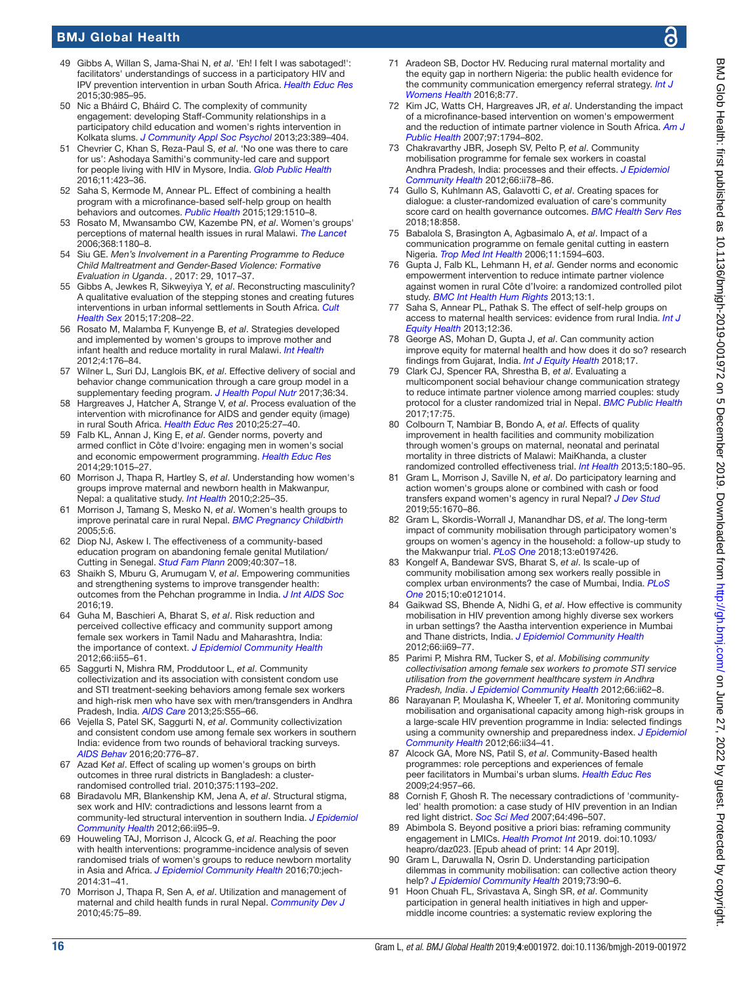- <span id="page-15-4"></span>49 Gibbs A, Willan S, Jama-Shai N, *et al*. 'Eh! I felt I was sabotaged!': facilitators' understandings of success in a participatory HIV and IPV prevention intervention in urban South Africa. *[Health Educ Res](http://dx.doi.org/10.1093/her/cyv059)* 2015;30:985–95.
- <span id="page-15-14"></span>50 Nic a Bháird C, Bháird C. The complexity of community engagement: developing Staff-Community relationships in a participatory child education and women's rights intervention in Kolkata slums. *[J Community Appl Soc Psychol](http://dx.doi.org/10.1002/casp.2133)* 2013;23:389–404.
- <span id="page-15-19"></span>51 Chevrier C, Khan S, Reza-Paul S, *et al*. 'No one was there to care for us': Ashodaya Samithi's community-led care and support for people living with HIV in Mysore, India. *[Glob Public Health](http://dx.doi.org/10.1080/17441692.2015.1091488)* 2016;11:423–36.
- <span id="page-15-28"></span>52 Saha S, Kermode M, Annear PL. Effect of combining a health program with a microfinance-based self-help group on health behaviors and outcomes. *[Public Health](http://dx.doi.org/10.1016/j.puhe.2015.07.010)* 2015;129:1510–8.
- <span id="page-15-0"></span>53 Rosato M, Mwansambo CW, Kazembe PN, *et al*. Women's groups' perceptions of maternal health issues in rural Malawi. *[The Lancet](http://dx.doi.org/10.1016/S0140-6736(06)69475-0)* 2006;368:1180–8.
- <span id="page-15-12"></span>54 Siu GE. *Men's Involvement in a Parenting Programme to Reduce Child Maltreatment and Gender-Based Violence: Formative Evaluation in Uganda*. , 2017: 29, 1017–37.
- <span id="page-15-24"></span>55 Gibbs A, Jewkes R, Sikweyiya Y, *et al*. Reconstructing masculinity? A qualitative evaluation of the stepping stones and creating futures interventions in urban informal settlements in South Africa. *[Cult](http://dx.doi.org/10.1080/13691058.2014.966150)  [Health Sex](http://dx.doi.org/10.1080/13691058.2014.966150)* 2015;17:208–22.
- <span id="page-15-9"></span>56 Rosato M, Malamba F, Kunyenge B, *et al*. Strategies developed and implemented by women's groups to improve mother and infant health and reduce mortality in rural Malawi. *[Int Health](http://dx.doi.org/10.1016/j.inhe.2012.03.007)* 2012;4:176–84.
- <span id="page-15-1"></span>57 Wilner L, Suri DJ, Langlois BK, *et al*. Effective delivery of social and behavior change communication through a care group model in a supplementary feeding program. *[J Health Popul Nutr](http://dx.doi.org/10.1186/s41043-017-0111-3)* 2017;36:34.
- <span id="page-15-2"></span>58 Hargreaves J, Hatcher A, Strange V, *et al*. Process evaluation of the intervention with microfinance for AIDS and gender equity (image) in rural South Africa. *[Health Educ Res](http://dx.doi.org/10.1093/her/cyp054)* 2010;25:27–40.
- <span id="page-15-5"></span>59 Falb KL, Annan J, King E, *et al*. Gender norms, poverty and armed conflict in Côte d'Ivoire: engaging men in women's social and economic empowerment programming. *[Health Educ Res](http://dx.doi.org/10.1093/her/cyu058)* 2014;29:1015–27.
- <span id="page-15-23"></span>60 Morrison J, Thapa R, Hartley S, *et al*. Understanding how women's groups improve maternal and newborn health in Makwanpur, Nepal: a qualitative study. *[Int Health](http://dx.doi.org/10.1016/j.inhe.2009.11.004)* 2010;2:25–35.
- <span id="page-15-26"></span>61 Morrison J, Tamang S, Mesko N, *et al*. Women's health groups to improve perinatal care in rural Nepal. *[BMC Pregnancy Childbirth](http://dx.doi.org/10.1186/1471-2393-5-6)* 2005;5:6.
- <span id="page-15-6"></span>62 Diop NJ, Askew I. The effectiveness of a community-based education program on abandoning female genital Mutilation/ Cutting in Senegal. *[Stud Fam Plann](http://dx.doi.org/10.1111/j.1728-4465.2009.00213.x)* 2009;40:307–18.
- 63 Shaikh S, Mburu G, Arumugam V, *et al*. Empowering communities and strengthening systems to improve transgender health: outcomes from the Pehchan programme in India. *[J Int AIDS Soc](http://dx.doi.org/10.7448/IAS.19.3.20809)* 2016;19.
- <span id="page-15-3"></span>64 Guha M, Baschieri A, Bharat S, *et al*. Risk reduction and perceived collective efficacy and community support among female sex workers in Tamil Nadu and Maharashtra, India: the importance of context. *[J Epidemiol Community Health](http://dx.doi.org/10.1136/jech-2011-200562)* 2012;66:ii55–61.
- 65 Saggurti N, Mishra RM, Proddutoor L, *et al*. Community collectivization and its association with consistent condom use and STI treatment-seeking behaviors among female sex workers and high-risk men who have sex with men/transgenders in Andhra Pradesh, India. *[AIDS Care](http://dx.doi.org/10.1080/09540121.2012.749334)* 2013;25:S55–66.
- <span id="page-15-8"></span>66 Vejella S, Patel SK, Saggurti N, *et al*. Community collectivization and consistent condom use among female sex workers in southern India: evidence from two rounds of behavioral tracking surveys. *[AIDS Behav](http://dx.doi.org/10.1007/s10461-015-1171-2)* 2016;20:776–87.
- 67 Azad K*et al*. Effect of scaling up women's groups on birth outcomes in three rural districts in Bangladesh: a clusterrandomised controlled trial. 2010;375:1193–202.
- <span id="page-15-15"></span>68 Biradavolu MR, Blankenship KM, Jena A, *et al*. Structural stigma, sex work and HIV: contradictions and lessons learnt from a community-led structural intervention in southern India. *[J Epidemiol](http://dx.doi.org/10.1136/jech-2011-200508)  [Community Health](http://dx.doi.org/10.1136/jech-2011-200508)* 2012;66:ii95–9.
- <span id="page-15-27"></span>69 Houweling TAJ, Morrison J, Alcock G, *et al*. Reaching the poor with health interventions: programme-incidence analysis of seven randomised trials of women's groups to reduce newborn mortality in Asia and Africa. *[J Epidemiol Community Health](http://dx.doi.org/10.1136/jech-2014-204685)* 2016;70:jech-2014:31–41.
- 70 Morrison J, Thapa R, Sen A, *et al*. Utilization and management of maternal and child health funds in rural Nepal. *[Community Dev J](http://dx.doi.org/10.1093/cdj/bsn029)* 2010;45:75–89.
- <span id="page-15-20"></span>71 Aradeon SB, Doctor HV. Reducing rural maternal mortality and the equity gap in northern Nigeria: the public health evidence for the community communication emergency referral strategy. *[Int J](http://dx.doi.org/10.2147/IJWH.S94823)  [Womens Health](http://dx.doi.org/10.2147/IJWH.S94823)* 2016;8:77.
- <span id="page-15-10"></span>72 Kim JC, Watts CH, Hargreaves JR, *et al*. Understanding the impact of a microfinance-based intervention on women's empowerment and the reduction of intimate partner violence in South Africa. *[Am J](http://dx.doi.org/10.2105/AJPH.2006.095521)  [Public Health](http://dx.doi.org/10.2105/AJPH.2006.095521)* 2007;97:1794–802.
- <span id="page-15-17"></span>73 Chakravarthy JBR, Joseph SV, Pelto P, *et al*. Community mobilisation programme for female sex workers in coastal Andhra Pradesh, India: processes and their effects. *[J Epidemiol](http://dx.doi.org/10.1136/jech-2011-200487)  [Community Health](http://dx.doi.org/10.1136/jech-2011-200487)* 2012;66:ii78–86.
- <span id="page-15-18"></span>74 Gullo S, Kuhlmann AS, Galavotti C, *et al*. Creating spaces for dialogue: a cluster-randomized evaluation of care's community score card on health governance outcomes. *[BMC Health Serv Res](http://dx.doi.org/10.1186/s12913-018-3651-3)* 2018;18:858.
- 75 Babalola S, Brasington A, Agbasimalo A, *et al*. Impact of a communication programme on female genital cutting in eastern Nigeria. *[Trop Med Int Health](http://dx.doi.org/10.1111/j.1365-3156.2006.01701.x)* 2006;11:1594–603.
- <span id="page-15-7"></span>76 Gupta J, Falb KL, Lehmann H, *et al*. Gender norms and economic empowerment intervention to reduce intimate partner violence against women in rural Côte d'Ivoire: a randomized controlled pilot study. *[BMC Int Health Hum Rights](http://dx.doi.org/10.1186/1472-698X-13-46)* 2013;13:1.
- 77 Saha S, Annear PL, Pathak S. The effect of self-help groups on access to maternal health services: evidence from rural India. *[Int J](http://dx.doi.org/10.1186/1475-9276-12-36)  [Equity Health](http://dx.doi.org/10.1186/1475-9276-12-36)* 2013;12:36.
- 78 George AS, Mohan D, Gupta J, *et al*. Can community action improve equity for maternal health and how does it do so? research findings from Gujarat, India. *[Int J Equity Health](http://dx.doi.org/10.1186/s12939-018-0838-5)* 2018;17.
- <span id="page-15-21"></span>79 Clark CJ, Spencer RA, Shrestha B, *et al*. Evaluating a multicomponent social behaviour change communication strategy to reduce intimate partner violence among married couples: study protocol for a cluster randomized trial in Nepal. *[BMC Public Health](http://dx.doi.org/10.1186/s12889-016-3909-9)* 2017;17:75.
- <span id="page-15-22"></span>80 Colbourn T, Nambiar B, Bondo A, *et al*. Effects of quality improvement in health facilities and community mobilization through women's groups on maternal, neonatal and perinatal mortality in three districts of Malawi: MaiKhanda, a cluster randomized controlled effectiveness trial. *[Int Health](http://dx.doi.org/10.1093/inthealth/iht011)* 2013;5:180–95.
- <span id="page-15-11"></span>81 Gram L, Morrison J, Saville N, *et al*. Do participatory learning and action women's groups alone or combined with cash or food transfers expand women's agency in rural Nepal? *[J Dev Stud](http://dx.doi.org/10.1080/00220388.2018.1448069)* 2019;55:1670–86.
- 82 Gram L, Skordis-Worrall J, Manandhar DS, *et al*. The long-term impact of community mobilisation through participatory women's groups on women's agency in the household: a follow-up study to the Makwanpur trial. *[PLoS One](http://dx.doi.org/10.1371/journal.pone.0197426)* 2018;13:e0197426.
- <span id="page-15-16"></span>83 Kongelf A, Bandewar SVS, Bharat S, *et al*. Is scale-up of community mobilisation among sex workers really possible in complex urban environments? the case of Mumbai, India. *[PLoS](http://dx.doi.org/10.1371/journal.pone.0121014)  [One](http://dx.doi.org/10.1371/journal.pone.0121014)* 2015;10:e0121014.
- <span id="page-15-25"></span>84 Gaikwad SS, Bhende A, Nidhi G, *et al*. How effective is community mobilisation in HIV prevention among highly diverse sex workers in urban settings? the Aastha intervention experience in Mumbai and Thane districts, India. *[J Epidemiol Community Health](http://dx.doi.org/10.1136/jech-2011-200514)* 2012;66:ii69–77.
- 85 Parimi P, Mishra RM, Tucker S, *et al*. *Mobilising community collectivisation among female sex workers to promote STI service utilisation from the government healthcare system in Andhra Pradesh, India*. *[J Epidemiol Community Health](http://dx.doi.org/10.1136/jech-2011-200832)* 2012;66:ii62–8.
- <span id="page-15-13"></span>86 Narayanan P, Moulasha K, Wheeler T, *et al*. Monitoring community mobilisation and organisational capacity among high-risk groups in a large-scale HIV prevention programme in India: selected findings using a community ownership and preparedness index. *[J Epidemiol](http://dx.doi.org/10.1136/jech-2012-201065) [Community Health](http://dx.doi.org/10.1136/jech-2012-201065)* 2012;66:ii34–41.
- 87 Alcock GA, More NS, Patil S, *et al*. Community-Based health programmes: role perceptions and experiences of female peer facilitators in Mumbai's urban slums. *[Health Educ Res](http://dx.doi.org/10.1093/her/cyp038)* 2009;24:957–66.
- <span id="page-15-29"></span>88 Cornish F, Ghosh R. The necessary contradictions of 'communityled' health promotion: a case study of HIV prevention in an Indian red light district. *[Soc Sci Med](http://dx.doi.org/10.1016/j.socscimed.2006.09.009)* 2007;64:496–507.
- 89 Abimbola S. Beyond positive a priori bias: reframing community engagement in LMICs. *[Health Promot Int](http://dx.doi.org/10.1093/heapro/daz023)* 2019. doi:10.1093/ heapro/daz023. [Epub ahead of print: 14 Apr 2019].
- 90 Gram L, Daruwalla N, Osrin D. Understanding participation dilemmas in community mobilisation: can collective action theory help? *[J Epidemiol Community Health](http://dx.doi.org/10.1136/jech-2018-211045)* 2019;73:90–6.
- <span id="page-15-30"></span>91 Hoon Chuah FL, Srivastava A, Singh SR, *et al*. Community participation in general health initiatives in high and uppermiddle income countries: a systematic review exploring the